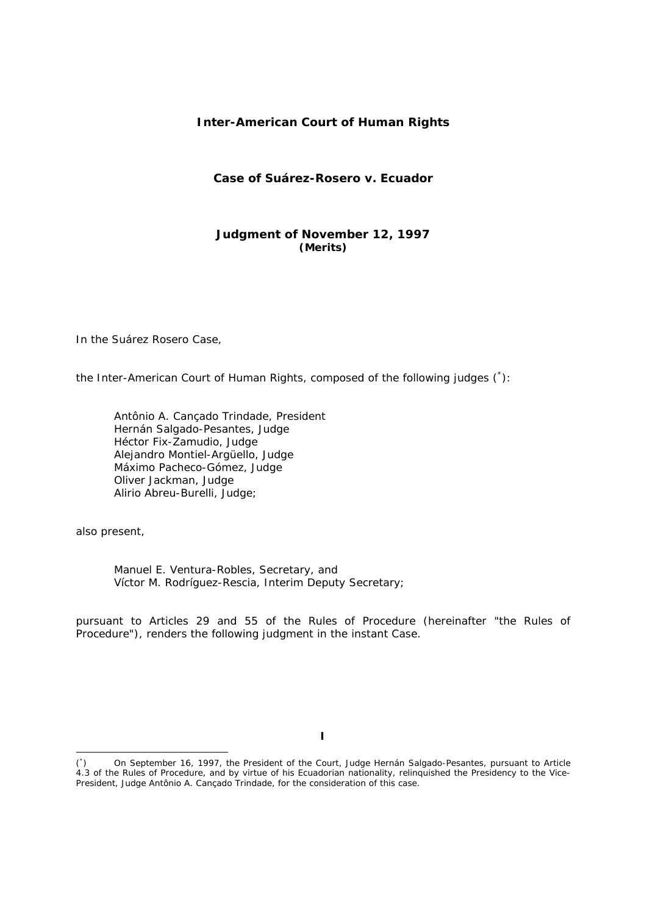# **Inter-American Court of Human Rights**

# **Case of Suárez-Rosero** *v.* **Ecuador**

# **Judgment of November 12, 1997**  *(Merits)*

In the Suárez Rosero Case,

the Inter-American Court of Human Rights, composed of the following judges (\* ):

Antônio A. Cançado Trindade, President Hernán Salgado-Pesantes, Judge Héctor Fix-Zamudio, Judge Alejandro Montiel-Argüello, Judge Máximo Pacheco-Gómez, Judge Oliver Jackman, Judge Alirio Abreu-Burelli, Judge;

also present,

-

Manuel E. Ventura-Robles, Secretary, and Víctor M. Rodríguez-Rescia, Interim Deputy Secretary;

pursuant to Articles 29 and 55 of the Rules of Procedure (hereinafter "the Rules of Procedure"), renders the following judgment in the instant Case.

**I** 

 $(\dot{c})$ ) On September 16, 1997, the President of the Court, Judge Hernán Salgado-Pesantes, pursuant to Article 4.3 of the Rules of Procedure, and by virtue of his Ecuadorian nationality, relinquished the Presidency to the Vice-President, Judge Antônio A. Cançado Trindade, for the consideration of this case.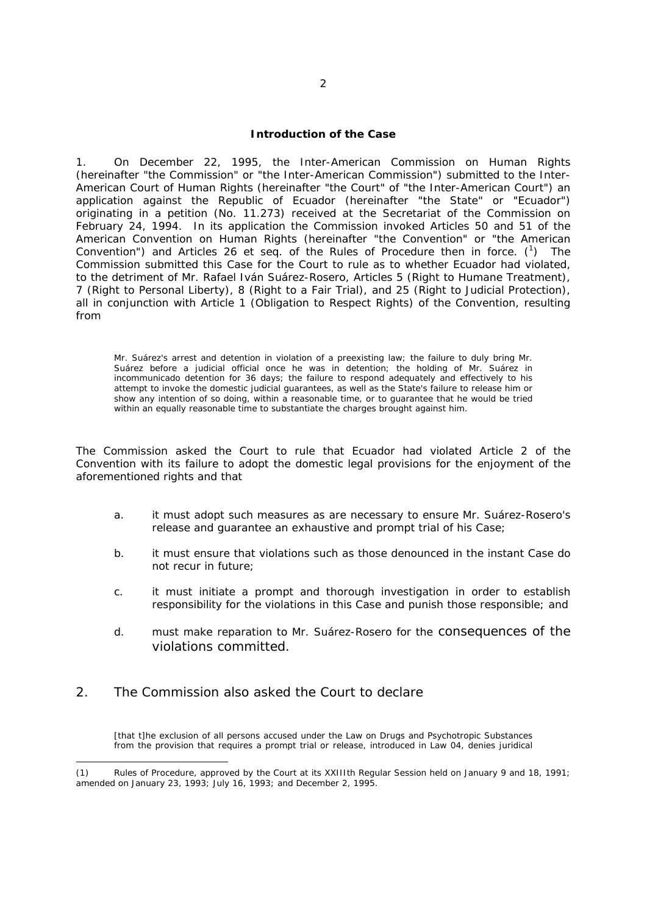#### **Introduction of the Case**

1. On December 22, 1995, the Inter-American Commission on Human Rights (hereinafter "the Commission" or "the Inter-American Commission") submitted to the Inter-American Court of Human Rights (hereinafter "the Court" of "the Inter-American Court") an application against the Republic of Ecuador (hereinafter "the State" or "Ecuador") originating in a petition (No. 11.273) received at the Secretariat of the Commission on February 24, 1994. In its application the Commission invoked Articles 50 and 51 of the American Convention on Human Rights (hereinafter "the Convention" or "the American Convention") and Articles 26 *et seq.* of the Rules of Procedure then in force.  $\binom{1}{1}$ ) The Commission submitted this Case for the Court to rule as to whether Ecuador had violated, to the detriment of Mr. Rafael Iván Suárez-Rosero, Articles 5 (Right to Humane Treatment), 7 (Right to Personal Liberty), 8 (Right to a Fair Trial), and 25 (Right to Judicial Protection), all in conjunction with Article 1 (Obligation to Respect Rights) of the Convention, resulting from

Mr. Suárez's arrest and detention in violation of a preexisting law; the failure to duly bring Mr. Suárez before a judicial official once he was in detention; the holding of Mr. Suárez in incommunicado detention for 36 days; the failure to respond adequately and effectively to his attempt to invoke the domestic judicial guarantees, as well as the State's failure to release him or show any intention of so doing, within a reasonable time, or to guarantee that he would be tried within an equally reasonable time to substantiate the charges brought against him.

The Commission asked the Court to rule that Ecuador had violated Article 2 of the Convention with its failure to adopt the domestic legal provisions for the enjoyment of the aforementioned rights and that

- a. it must adopt such measures as are necessary to ensure Mr. Suárez-Rosero's release and guarantee an exhaustive and prompt trial of his Case;
- b. it must ensure that violations such as those denounced in the instant Case do not recur in future;
- c. it must initiate a prompt and thorough investigation in order to establish responsibility for the violations in this Case and punish those responsible; and
- d. must make reparation to Mr. Suárez-Rosero for the consequences of the violations committed.

# 2. The Commission also asked the Court to declare

-

[that t]he exclusion of all persons accused under the Law on Drugs and Psychotropic Substances from the provision that requires a prompt trial or release, introduced in Law 04, denies juridical

Rules of Procedure, approved by the Court at its XXIIIth Regular Session held on January 9 and 18, 1991; amended on January 23, 1993; July 16, 1993; and December 2, 1995.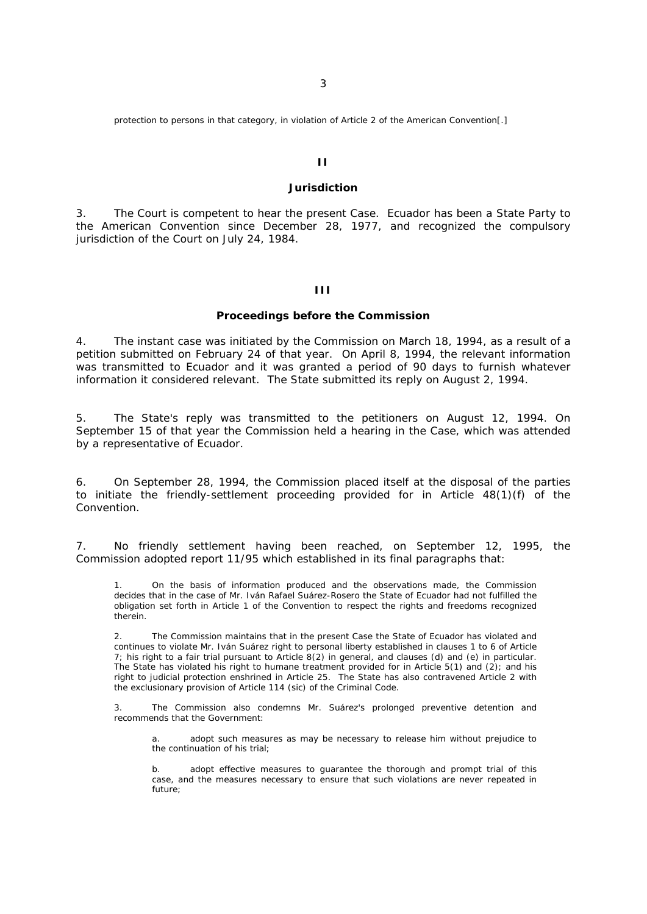protection to persons in that category, in violation of Article 2 of the American Convention[.]

### **II**

# **Jurisdiction**

3. The Court is competent to hear the present Case. Ecuador has been a State Party to the American Convention since December 28, 1977, and recognized the compulsory jurisdiction of the Court on July 24, 1984.

## **III**

#### **Proceedings before the Commission**

4. The instant case was initiated by the Commission on March 18, 1994, as a result of a petition submitted on February 24 of that year. On April 8, 1994, the relevant information was transmitted to Ecuador and it was granted a period of 90 days to furnish whatever information it considered relevant. The State submitted its reply on August 2, 1994.

5. The State's reply was transmitted to the petitioners on August 12, 1994. On September 15 of that year the Commission held a hearing in the Case, which was attended by a representative of Ecuador.

6. On September 28, 1994, the Commission placed itself at the disposal of the parties to initiate the friendly-settlement proceeding provided for in Article 48(1)(f) of the Convention.

7. No friendly settlement having been reached, on September 12, 1995, the Commission adopted report 11/95 which established in its final paragraphs that:

1. On the basis of information produced and the observations made, the Commission decides that in the case of Mr. Iván Rafael Suárez-Rosero the State of Ecuador had not fulfilled the obligation set forth in Article 1 of the Convention to respect the rights and freedoms recognized therein.

2. The Commission maintains that in the present Case the State of Ecuador has violated and continues to violate Mr. Iván Suárez right to personal liberty established in clauses 1 to 6 of Article 7; his right to a fair trial pursuant to Article 8(2) in general, and clauses (d) and (e) in particular. The State has violated his right to humane treatment provided for in Article  $5(1)$  and  $(2)$ ; and his right to judicial protection enshrined in Article 25. The State has also contravened Article 2 with the exclusionary provision of Article 114 (*sic*) of the Criminal Code.

3. The Commission also condemns Mr. Suárez's prolonged preventive detention and recommends that the Government:

a. adopt such measures as may be necessary to release him without prejudice to the continuation of his trial;

b. adopt effective measures to guarantee the thorough and prompt trial of this case, and the measures necessary to ensure that such violations are never repeated in future;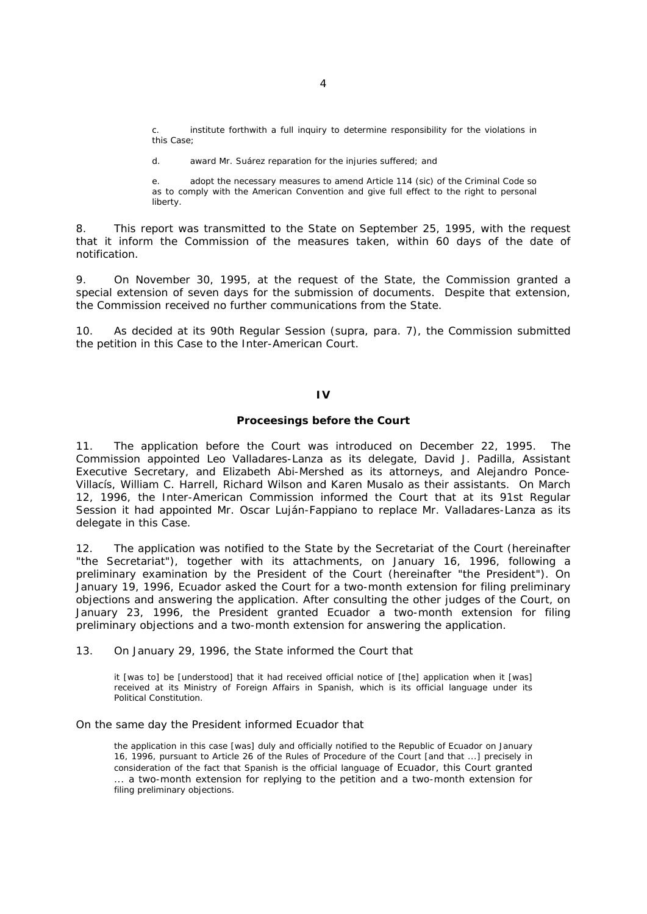institute forthwith a full inquiry to determine responsibility for the violations in this Case;

d. award Mr. Suárez reparation for the injuries suffered; and

e. adopt the necessary measures to amend Article 114 (*sic*) of the Criminal Code so as to comply with the American Convention and give full effect to the right to personal liberty.

8. This report was transmitted to the State on September 25, 1995, with the request that it inform the Commission of the measures taken, within 60 days of the date of notification.

9. On November 30, 1995, at the request of the State, the Commission granted a special extension of seven days for the submission of documents. Despite that extension, the Commission received no further communications from the State.

10. As decided at its 90th Regular Session (*supra,* para. 7), the Commission submitted the petition in this Case to the Inter-American Court.

### **IV**

#### **Proceesings before the Court**

11. The application before the Court was introduced on December 22, 1995. The Commission appointed Leo Valladares-Lanza as its delegate, David J. Padilla, Assistant Executive Secretary, and Elizabeth Abi-Mershed as its attorneys, and Alejandro Ponce-Villacís, William C. Harrell, Richard Wilson and Karen Musalo as their assistants. On March 12, 1996, the Inter-American Commission informed the Court that at its 91st Regular Session it had appointed Mr. Oscar Luján-Fappiano to replace Mr. Valladares-Lanza as its delegate in this Case.

12. The application was notified to the State by the Secretariat of the Court (hereinafter "the Secretariat"), together with its attachments, on January 16, 1996, following a preliminary examination by the President of the Court (hereinafter "the President"). On January 19, 1996, Ecuador asked the Court for a two-month extension for filing preliminary objections and answering the application. After consulting the other judges of the Court, on January 23, 1996, the President granted Ecuador a two-month extension for filing preliminary objections and a two-month extension for answering the application.

13. On January 29, 1996, the State informed the Court that

it [was to] be [understood] that it had received official notice of [the] application when it [was] received at its Ministry of Foreign Affairs in Spanish, which is its official language under its Political Constitution.

#### On the same day the President informed Ecuador that

the application in this case [was] duly and officially notified to the Republic of Ecuador on January 16, 1996, pursuant to Article 26 of the Rules of Procedure of the Court [and that ...] precisely in consideration of the fact that Spanish is the official language of Ecuador, this Court granted ... a two-month extension for replying to the petition and a two-month extension for filing preliminary objections.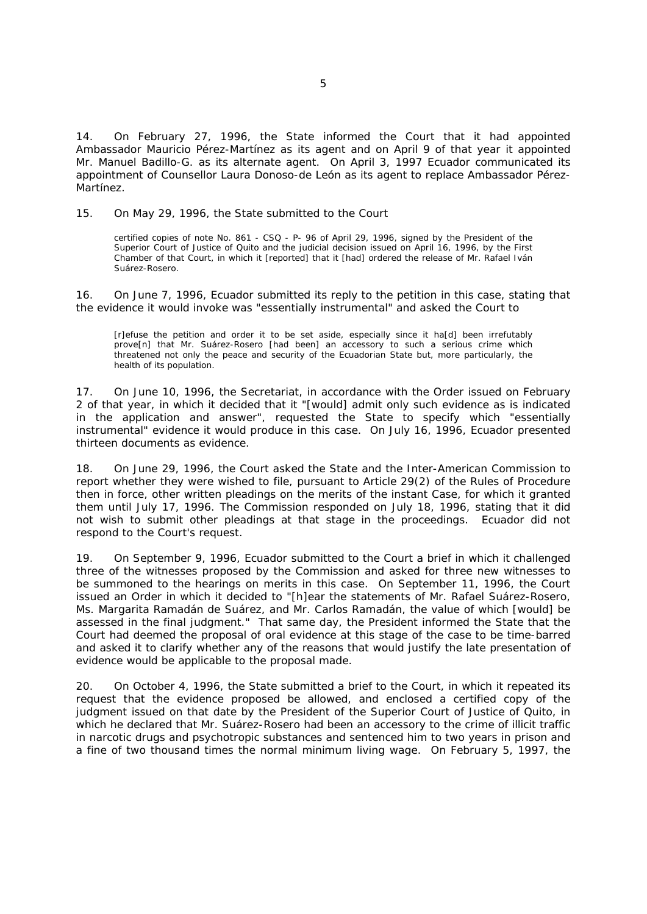14. On February 27, 1996, the State informed the Court that it had appointed Ambassador Mauricio Pérez-Martínez as its agent and on April 9 of that year it appointed Mr. Manuel Badillo-G. as its alternate agent. On April 3, 1997 Ecuador communicated its appointment of Counsellor Laura Donoso-de León as its agent to replace Ambassador Pérez-Martínez.

## 15. On May 29, 1996, the State submitted to the Court

certified copies of note No. 861 - CSQ - P- 96 of April 29, 1996, signed by the President of the Superior Court of Justice of Quito and the judicial decision issued on April 16, 1996, by the First Chamber of that Court, in which it [reported] that it [had] ordered the release of Mr. Rafael Iván Suárez-Rosero.

16. On June 7, 1996, Ecuador submitted its reply to the petition in this case, stating that the evidence it would invoke was "*essentially instrumental*" and asked the Court to

[r]efuse the petition and order it to be set aside, especially since it ha[d] been irrefutably prove[n] that Mr. Suárez-Rosero [had been] an accessory to such a serious crime which threatened not only the peace and security of the Ecuadorian State but, more particularly, the health of its population.

17. On June 10, 1996, the Secretariat, in accordance with the Order issued on February 2 of that year, in which it decided that it "[would] *admit only such evidence as is indicated in the application and answer*", requested the State to specify which "*essentially instrumental*" evidence it would produce in this case. On July 16, 1996, Ecuador presented thirteen documents as evidence.

18. On June 29, 1996, the Court asked the State and the Inter-American Commission to report whether they were wished to file, pursuant to Article 29(2) of the Rules of Procedure then in force, other written pleadings on the merits of the instant Case, for which it granted them until July 17, 1996. The Commission responded on July 18, 1996, stating that it did not wish to submit other pleadings at that stage in the proceedings. Ecuador did not respond to the Court's request.

19. On September 9, 1996, Ecuador submitted to the Court a brief in which it challenged three of the witnesses proposed by the Commission and asked for three new witnesses to be summoned to the hearings on merits in this case. On September 11, 1996, the Court issued an Order in which it decided to "[h]*ear the statements of Mr. Rafael Suárez-Rosero, Ms. Margarita Ramadán de Suárez, and Mr. Carlos Ramadán, the value of which* [would] *be assessed in the final judgment.*" That same day, the President informed the State that the Court had deemed the proposal of oral evidence at this stage of the case to be time-barred and asked it to clarify whether any of the reasons that would justify the late presentation of evidence would be applicable to the proposal made.

20. On October 4, 1996, the State submitted a brief to the Court, in which it repeated its request that the evidence proposed be allowed, and enclosed a certified copy of the judgment issued on that date by the President of the Superior Court of Justice of Quito, in which he declared that Mr. Suárez-Rosero had been an accessory to the crime of illicit traffic in narcotic drugs and psychotropic substances and sentenced him to two years in prison and a fine of two thousand times the normal minimum living wage. On February 5, 1997, the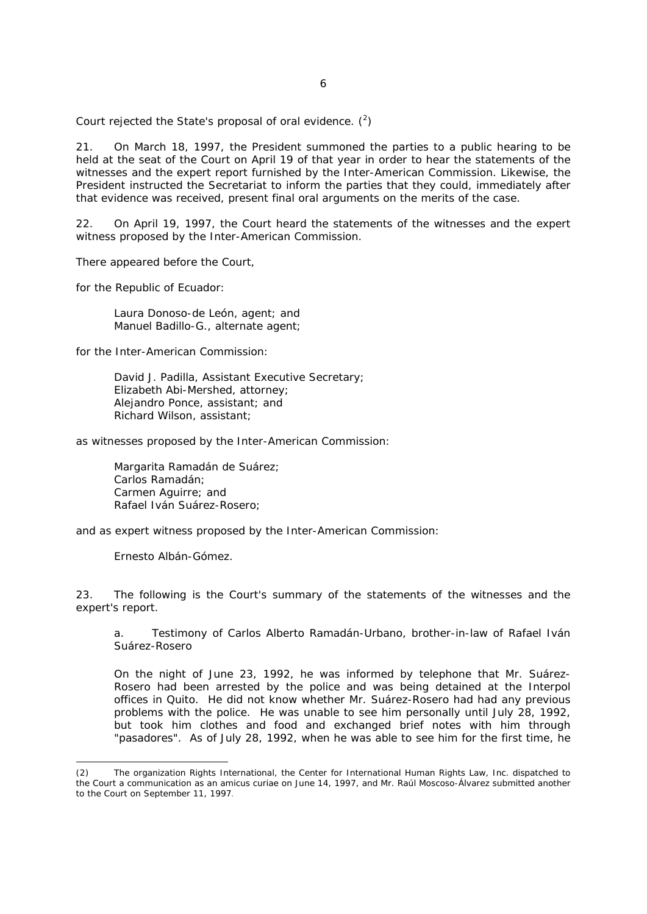Court rejected the State's proposal of oral evidence.  $(^2)$ 

21. On March 18, 1997, the President summoned the parties to a public hearing to be held at the seat of the Court on April 19 of that year in order to hear the statements of the witnesses and the expert report furnished by the Inter-American Commission. Likewise, the President instructed the Secretariat to inform the parties that they could, immediately after that evidence was received, present final oral arguments on the merits of the case.

22. On April 19, 1997, the Court heard the statements of the witnesses and the expert witness proposed by the Inter-American Commission.

There appeared before the Court,

for the Republic of Ecuador:

Laura Donoso-de León, agent; and Manuel Badillo-G., alternate agent;

for the Inter-American Commission:

David J. Padilla, Assistant Executive Secretary; Elizabeth Abi-Mershed, attorney; Alejandro Ponce, assistant; and Richard Wilson, assistant;

as witnesses proposed by the Inter-American Commission:

Margarita Ramadán de Suárez; Carlos Ramadán; Carmen Aguirre; and Rafael Iván Suárez-Rosero;

and as expert witness proposed by the Inter-American Commission:

Ernesto Albán-Gómez.

-

23. The following is the Court's summary of the statements of the witnesses and the expert's report.

a. *Testimony of Carlos Alberto Ramadán-Urbano, brother-in-law of Rafael Iván Suárez-Rosero* 

On the night of June 23, 1992, he was informed by telephone that Mr. Suárez-Rosero had been arrested by the police and was being detained at the Interpol offices in Quito. He did not know whether Mr. Suárez-Rosero had had any previous problems with the police. He was unable to see him personally until July 28, 1992, but took him clothes and food and exchanged brief notes with him through "pasadores". As of July 28, 1992, when he was able to see him for the first time, he

The organization Rights International, the Center for International Human Rights Law, Inc. dispatched to the Court a communication as an *amicus curiae* on June 14, 1997, and Mr. Raúl Moscoso-Álvarez submitted another to the Court on September 11, 1997.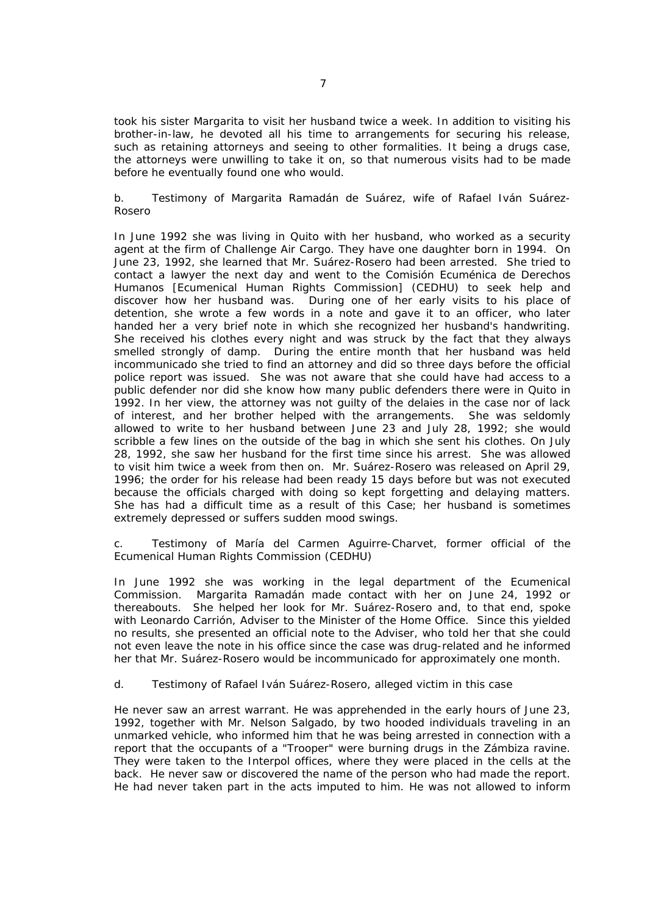took his sister Margarita to visit her husband twice a week. In addition to visiting his brother-in-law, he devoted all his time to arrangements for securing his release, such as retaining attorneys and seeing to other formalities. It being a drugs case, the attorneys were unwilling to take it on, so that numerous visits had to be made before he eventually found one who would.

# b. *Testimony of Margarita Ramadán de Suárez, wife of Rafael Iván Suárez-Rosero*

In June 1992 she was living in Quito with her husband, who worked as a security agent at the firm of Challenge Air Cargo. They have one daughter born in 1994. On June 23, 1992, she learned that Mr. Suárez-Rosero had been arrested. She tried to contact a lawyer the next day and went to the Comisión Ecuménica de Derechos Humanos [Ecumenical Human Rights Commission] (CEDHU) to seek help and discover how her husband was. During one of her early visits to his place of detention, she wrote a few words in a note and gave it to an officer, who later handed her a very brief note in which she recognized her husband's handwriting. She received his clothes every night and was struck by the fact that they always smelled strongly of damp. During the entire month that her husband was held incommunicado she tried to find an attorney and did so three days before the official police report was issued. She was not aware that she could have had access to a public defender nor did she know how many public defenders there were in Quito in 1992. In her view, the attorney was not guilty of the delaies in the case nor of lack of interest, and her brother helped with the arrangements. She was seldomly allowed to write to her husband between June 23 and July 28, 1992; she would scribble a few lines on the outside of the bag in which she sent his clothes. On July 28, 1992, she saw her husband for the first time since his arrest. She was allowed to visit him twice a week from then on. Mr. Suárez-Rosero was released on April 29, 1996; the order for his release had been ready 15 days before but was not executed because the officials charged with doing so kept forgetting and delaying matters. She has had a difficult time as a result of this Case; her husband is sometimes extremely depressed or suffers sudden mood swings.

# c. *Testimony of María del Carmen Aguirre-Charvet, former official of the Ecumenical Human Rights Commission (CEDHU)*

In June 1992 she was working in the legal department of the Ecumenical Commission. Margarita Ramadán made contact with her on June 24, 1992 or thereabouts. She helped her look for Mr. Suárez-Rosero and, to that end, spoke with Leonardo Carrión, Adviser to the Minister of the Home Office. Since this yielded no results, she presented an official note to the Adviser, who told her that she could not even leave the note in his office since the case was drug-related and he informed her that Mr. Suárez-Rosero would be incommunicado for approximately one month.

# d. *Testimony of Rafael Iván Suárez-Rosero, alleged victim in this case*

He never saw an arrest warrant. He was apprehended in the early hours of June 23, 1992, together with Mr. Nelson Salgado, by two hooded individuals traveling in an unmarked vehicle, who informed him that he was being arrested in connection with a report that the occupants of a "Trooper" were burning drugs in the Zámbiza ravine. They were taken to the Interpol offices, where they were placed in the cells at the back. He never saw or discovered the name of the person who had made the report. He had never taken part in the acts imputed to him. He was not allowed to inform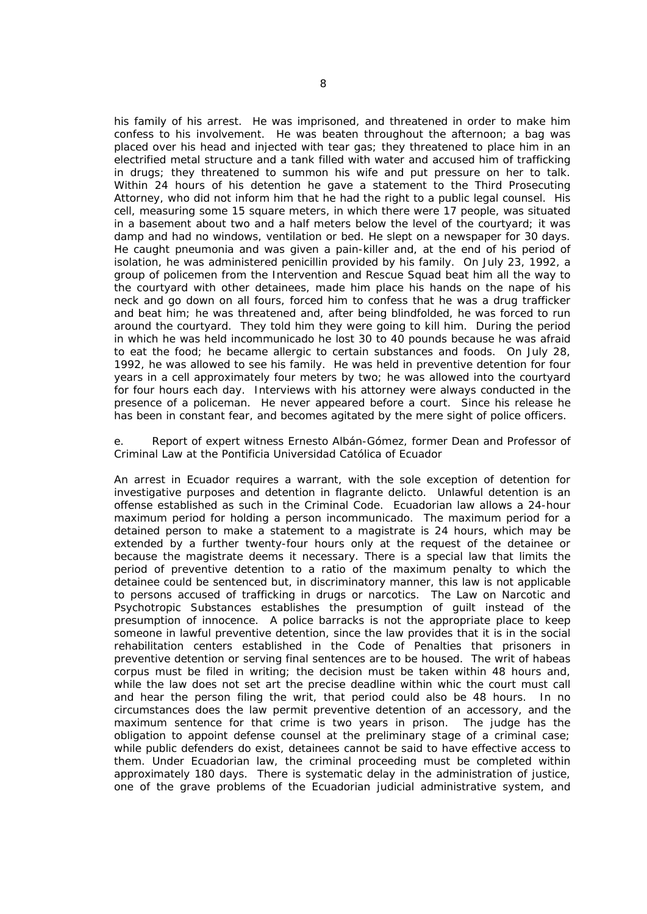his family of his arrest. He was imprisoned, and threatened in order to make him confess to his involvement. He was beaten throughout the afternoon; a bag was placed over his head and injected with tear gas; they threatened to place him in an electrified metal structure and a tank filled with water and accused him of trafficking in drugs; they threatened to summon his wife and put pressure on her to talk. Within 24 hours of his detention he gave a statement to the Third Prosecuting Attorney, who did not inform him that he had the right to a public legal counsel. His cell, measuring some 15 square meters, in which there were 17 people, was situated in a basement about two and a half meters below the level of the courtyard; it was damp and had no windows, ventilation or bed. He slept on a newspaper for 30 days. He caught pneumonia and was given a pain-killer and, at the end of his period of isolation, he was administered penicillin provided by his family. On July 23, 1992, a group of policemen from the Intervention and Rescue Squad beat him all the way to the courtyard with other detainees, made him place his hands on the nape of his neck and go down on all fours, forced him to confess that he was a drug trafficker and beat him; he was threatened and, after being blindfolded, he was forced to run around the courtyard. They told him they were going to kill him. During the period in which he was held incommunicado he lost 30 to 40 pounds because he was afraid to eat the food; he became allergic to certain substances and foods. On July 28, 1992, he was allowed to see his family. He was held in preventive detention for four years in a cell approximately four meters by two; he was allowed into the courtyard for four hours each day. Interviews with his attorney were always conducted in the presence of a policeman. He never appeared before a court. Since his release he has been in constant fear, and becomes agitated by the mere sight of police officers.

## e. *Report of expert witness Ernesto Albán-Gómez, former Dean and Professor of Criminal Law at the Pontificia Universidad Católica of Ecuador*

An arrest in Ecuador requires a warrant, with the sole exception of detention for investigative purposes and detention *in flagrante delicto.* Unlawful detention is an offense established as such in the Criminal Code. Ecuadorian law allows a 24-hour maximum period for holding a person *incommunicado*. The maximum period for a detained person to make a statement to a magistrate is 24 hours, which may be extended by a further twenty-four hours only at the request of the detainee or because the magistrate deems it necessary. There is a special law that limits the period of preventive detention to a ratio of the maximum penalty to which the detainee could be sentenced but, in discriminatory manner, this law is not applicable to persons accused of trafficking in drugs or narcotics. The Law on Narcotic and Psychotropic Substances establishes the presumption of guilt instead of the presumption of innocence. A police barracks is not the appropriate place to keep someone in lawful preventive detention, since the law provides that it is in the social rehabilitation centers established in the Code of Penalties that prisoners in preventive detention or serving final sentences are to be housed. The writ of *habeas corpus* must be filed in writing; the decision must be taken within 48 hours and, while the law does not set art the precise deadline within whic the court must call and hear the person filing the writ, that period could also be 48 hours. In no circumstances does the law permit preventive detention of an accessory, and the maximum sentence for that crime is two years in prison. The judge has the obligation to appoint defense counsel at the preliminary stage of a criminal case; while public defenders do exist, detainees cannot be said to have effective access to them. Under Ecuadorian law, the criminal proceeding must be completed within approximately 180 days. There is systematic delay in the administration of justice, one of the grave problems of the Ecuadorian judicial administrative system, and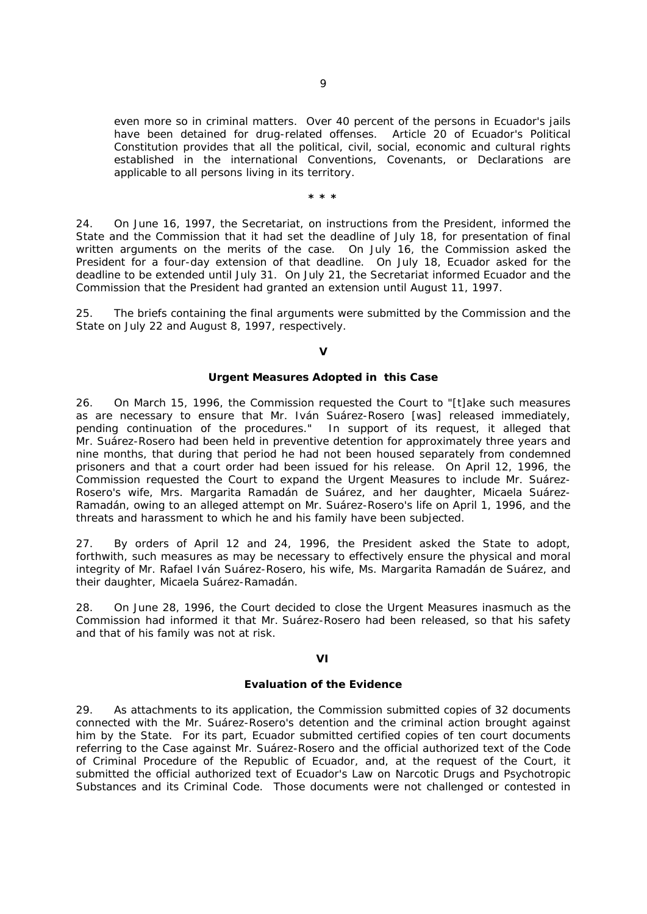even more so in criminal matters. Over 40 percent of the persons in Ecuador's jails have been detained for drug-related offenses. Article 20 of Ecuador's Political Constitution provides that all the political, civil, social, economic and cultural rights established in the international Conventions, Covenants, or Declarations are applicable to all persons living in its territory.

**\* \* \***

24. On June 16, 1997, the Secretariat, on instructions from the President, informed the State and the Commission that it had set the deadline of July 18, for presentation of final written arguments on the merits of the case. On July 16, the Commission asked the President for a four-day extension of that deadline. On July 18, Ecuador asked for the deadline to be extended until July 31. On July 21, the Secretariat informed Ecuador and the Commission that the President had granted an extension until August 11, 1997.

25. The briefs containing the final arguments were submitted by the Commission and the State on July 22 and August 8, 1997, respectively.

### **V**

### **Urgent Measures Adopted in this Case**

26. On March 15, 1996, the Commission requested the Court to "[t]*ake such measures as are necessary to ensure that Mr. Iván Suárez-Rosero* [was] *released immediately, pending continuation of the procedures.*"In support of its request, it alleged that Mr. Suárez-Rosero had been held in preventive detention for approximately three years and nine months, that during that period he had not been housed separately from condemned prisoners and that a court order had been issued for his release. On April 12, 1996, the Commission requested the Court to expand the Urgent Measures to include Mr. Suárez-Rosero's wife, Mrs. Margarita Ramadán de Suárez, and her daughter, Micaela Suárez-Ramadán, owing to an alleged attempt on Mr. Suárez-Rosero's life on April 1, 1996, and the threats and harassment to which he and his family have been subjected.

27. By orders of April 12 and 24, 1996, the President asked the State to adopt, forthwith, such measures as may be necessary to effectively ensure the physical and moral integrity of Mr. Rafael Iván Suárez-Rosero, his wife, Ms. Margarita Ramadán de Suárez, and their daughter, Micaela Suárez-Ramadán.

28. On June 28, 1996, the Court decided to close the Urgent Measures inasmuch as the Commission had informed it that Mr. Suárez-Rosero had been released, so that his safety and that of his family was not at risk.

# **VI**

# **Evaluation of the Evidence**

29. As attachments to its application, the Commission submitted copies of 32 documents connected with the Mr. Suárez-Rosero's detention and the criminal action brought against him by the State. For its part, Ecuador submitted certified copies of ten court documents referring to the Case against Mr. Suárez-Rosero and the official authorized text of the Code of Criminal Procedure of the Republic of Ecuador, and, at the request of the Court, it submitted the official authorized text of Ecuador's Law on Narcotic Drugs and Psychotropic Substances and its Criminal Code. Those documents were not challenged or contested in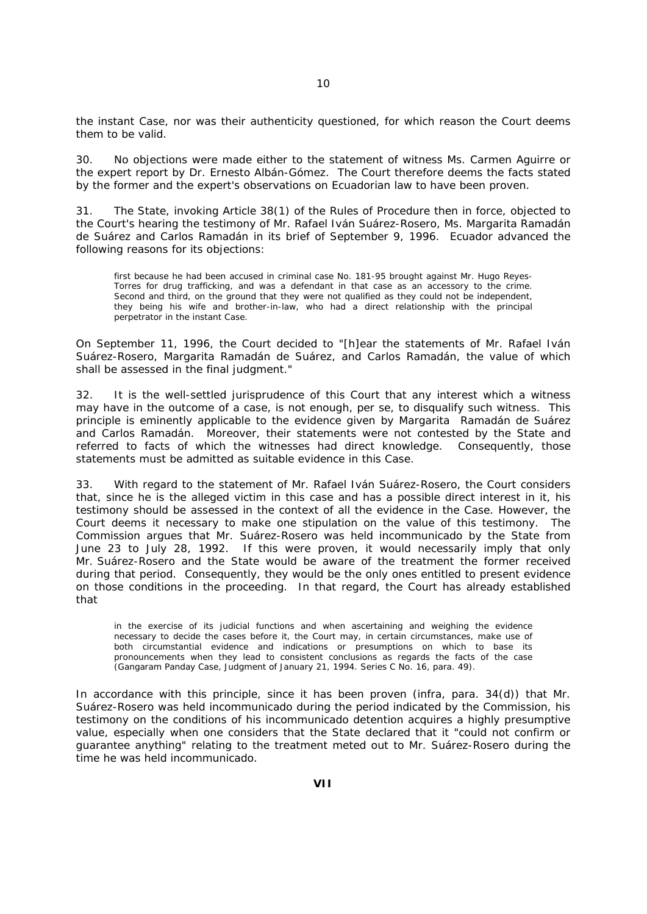the instant Case, nor was their authenticity questioned, for which reason the Court deems them to be valid.

30. No objections were made either to the statement of witness Ms. Carmen Aguirre or the expert report by Dr. Ernesto Albán-Gómez. The Court therefore deems the facts stated by the former and the expert's observations on Ecuadorian law to have been proven.

31. The State, invoking Article 38(1) of the Rules of Procedure then in force, objected to the Court's hearing the testimony of Mr. Rafael Iván Suárez-Rosero, Ms. Margarita Ramadán de Suárez and Carlos Ramadán in its brief of September 9, 1996. Ecuador advanced the following reasons for its objections:

first because he had been accused in criminal case No. 181-95 brought against Mr. Hugo Reyes-Torres for drug trafficking, and was a defendant in that case as an accessory to the crime. Second and third, on the ground that they were not qualified as they could not be independent, they being his wife and brother-in-law, who had a direct relationship with the principal perpetrator in the instant Case.

On September 11, 1996, the Court decided to "[h]*ear the statements of Mr. Rafael Iván Suárez-Rosero, Margarita Ramadán de Suárez, and Carlos Ramadán, the value of which shall be assessed in the final judgment.*"

32. It is the well-settled jurisprudence of this Court that any interest which a witness may have in the outcome of a case, is not enough, *per se*, to disqualify such witness. This principle is eminently applicable to the evidence given by Margarita Ramadán de Suárez and Carlos Ramadán. Moreover, their statements were not contested by the State and referred to facts of which the witnesses had direct knowledge. Consequently, those statements must be admitted as suitable evidence in this Case.

33. With regard to the statement of Mr. Rafael Iván Suárez-Rosero, the Court considers that, since he is the alleged victim in this case and has a possible direct interest in it, his testimony should be assessed in the context of all the evidence in the Case. However, the Court deems it necessary to make one stipulation on the value of this testimony. The Commission argues that Mr. Suárez-Rosero was held incommunicado by the State from June 23 to July 28, 1992. If this were proven, it would necessarily imply that only Mr. Suárez-Rosero and the State would be aware of the treatment the former received during that period. Consequently, they would be the only ones entitled to present evidence on those conditions in the proceeding. In that regard, the Court has already established that

in the exercise of its judicial functions and when ascertaining and weighing the evidence necessary to decide the cases before it, the Court may, in certain circumstances, make use of both circumstantial evidence and indications or presumptions on which to base its pronouncements when they lead to consistent conclusions as regards the facts of the case (*Gangaram Panday Case*, Judgment of January 21, 1994. Series C No. 16, para. 49).

In accordance with this principle, since it has been proven (*infra,* para. 34(d)) that Mr. Suárez-Rosero was held incommunicado during the period indicated by the Commission, his testimony on the conditions of his incommunicado detention acquires a highly presumptive value, especially when one considers that the State declared that it "*could not confirm or guarantee anything*" relating to the treatment meted out to Mr. Suárez-Rosero during the time he was held incommunicado.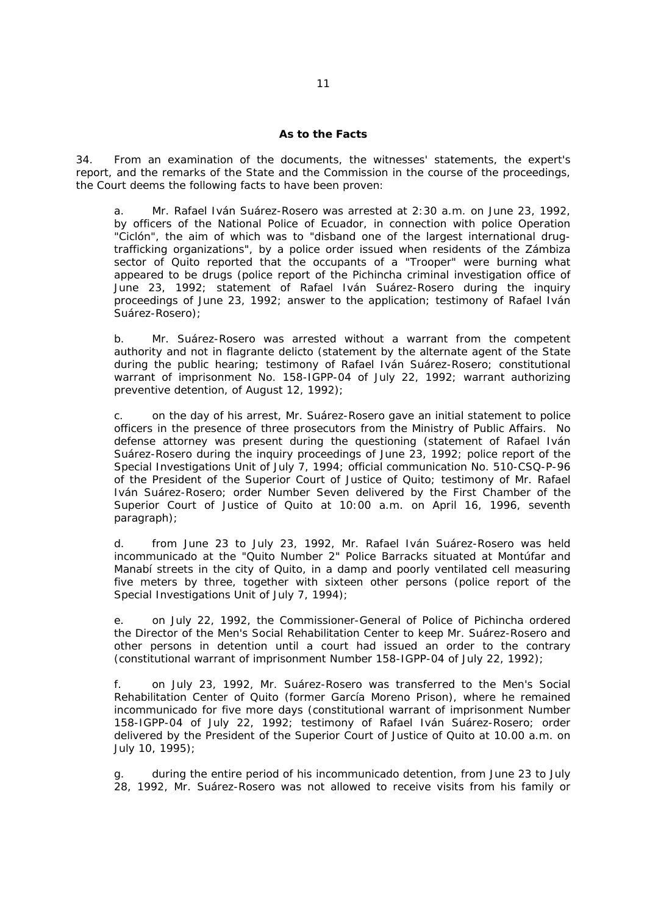### **As to the Facts**

34. From an examination of the documents, the witnesses' statements, the expert's report, and the remarks of the State and the Commission in the course of the proceedings, the Court deems the following facts to have been proven:

a. Mr. Rafael Iván Suárez-Rosero was arrested at 2:30 a.m. on June 23, 1992, by officers of the National Police of Ecuador, in connection with police Operation "Ciclón", the aim of which was to "*disband one of the largest international drugtrafficking organizations*", by a police order issued when residents of the Zámbiza sector of Quito reported that the occupants of a "Trooper" were burning what appeared to be drugs (police report of the Pichincha criminal investigation office of June 23, 1992; statement of Rafael Iván Suárez-Rosero during the inquiry proceedings of June 23, 1992; answer to the application; testimony of Rafael Iván Suárez-Rosero);

b. Mr. Suárez-Rosero was arrested without a warrant from the competent authority and not in *flagrante delicto* (statement by the alternate agent of the State during the public hearing; testimony of Rafael Iván Suárez-Rosero; constitutional warrant of imprisonment No. 158-IGPP-04 of July 22, 1992; warrant authorizing preventive detention, of August 12, 1992);

c. on the day of his arrest, Mr. Suárez-Rosero gave an initial statement to police officers in the presence of three prosecutors from the Ministry of Public Affairs. No defense attorney was present during the questioning (statement of Rafael Iván Suárez-Rosero during the inquiry proceedings of June 23, 1992; police report of the Special Investigations Unit of July 7, 1994; official communication No. 510-CSQ-P-96 of the President of the Superior Court of Justice of Quito; testimony of Mr. Rafael Iván Suárez-Rosero; order Number Seven delivered by the First Chamber of the Superior Court of Justice of Quito at 10:00 a.m. on April 16, 1996, seventh paragraph);

d. from June 23 to July 23, 1992, Mr. Rafael Iván Suárez-Rosero was held incommunicado at the "Quito Number 2" Police Barracks situated at Montúfar and Manabí streets in the city of Quito, in a damp and poorly ventilated cell measuring five meters by three, together with sixteen other persons (police report of the Special Investigations Unit of July 7, 1994);

e. on July 22, 1992, the Commissioner-General of Police of Pichincha ordered the Director of the Men's Social Rehabilitation Center to keep Mr. Suárez-Rosero and other persons in detention until a court had issued an order to the contrary (constitutional warrant of imprisonment Number 158-IGPP-04 of July 22, 1992);

f. on July 23, 1992, Mr. Suárez-Rosero was transferred to the Men's Social Rehabilitation Center of Quito (former García Moreno Prison), where he remained incommunicado for five more days (constitutional warrant of imprisonment Number 158-IGPP-04 of July 22, 1992; testimony of Rafael Iván Suárez-Rosero; order delivered by the President of the Superior Court of Justice of Quito at 10.00 a.m. on July 10, 1995);

during the entire period of his incommunicado detention, from June 23 to July 28, 1992, Mr. Suárez-Rosero was not allowed to receive visits from his family or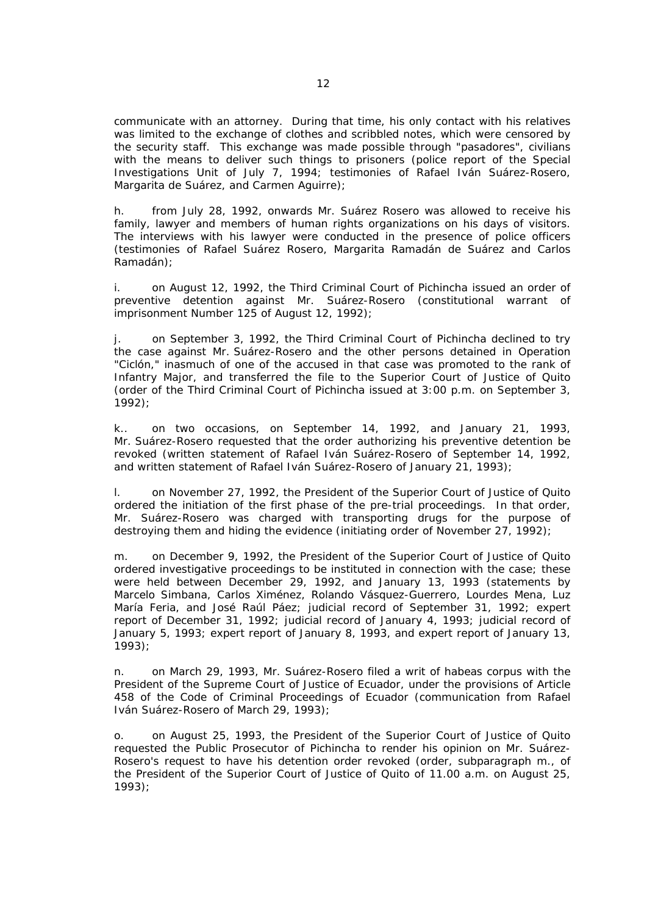communicate with an attorney. During that time, his only contact with his relatives was limited to the exchange of clothes and scribbled notes, which were censored by the security staff. This exchange was made possible through "pasadores", civilians with the means to deliver such things to prisoners (police report of the Special Investigations Unit of July 7, 1994; testimonies of Rafael Iván Suárez-Rosero, Margarita de Suárez, and Carmen Aguirre);

h. from July 28, 1992, onwards Mr. Suárez Rosero was allowed to receive his family, lawyer and members of human rights organizations on his days of visitors. The interviews with his lawyer were conducted in the presence of police officers (testimonies of Rafael Suárez Rosero, Margarita Ramadán de Suárez and Carlos Ramadán);

i. on August 12, 1992, the Third Criminal Court of Pichincha issued an order of preventive detention against Mr. Suárez-Rosero (constitutional warrant of imprisonment Number 125 of August 12, 1992);

j. on September 3, 1992, the Third Criminal Court of Pichincha declined to try the case against Mr. Suárez-Rosero and the other persons detained in Operation "Ciclón," inasmuch of one of the accused in that case was promoted to the rank of Infantry Major, and transferred the file to the Superior Court of Justice of Quito (order of the Third Criminal Court of Pichincha issued at 3:00 p.m. on September 3, 1992);

k.. on two occasions, on September 14, 1992, and January 21, 1993, Mr. Suárez-Rosero requested that the order authorizing his preventive detention be revoked (written statement of Rafael Iván Suárez-Rosero of September 14, 1992, and written statement of Rafael Iván Suárez-Rosero of January 21, 1993);

l. on November 27, 1992, the President of the Superior Court of Justice of Quito ordered the initiation of the first phase of the pre-trial proceedings. In that order, Mr. Suárez-Rosero was charged with transporting drugs for the purpose of destroying them and hiding the evidence (initiating order of November 27, 1992);

 m. on December 9, 1992, the President of the Superior Court of Justice of Quito ordered investigative proceedings to be instituted in connection with the case; these were held between December 29, 1992, and January 13, 1993 (statements by Marcelo Simbana, Carlos Ximénez, Rolando Vásquez-Guerrero, Lourdes Mena, Luz María Feria, and José Raúl Páez; judicial record of September 31, 1992; expert report of December 31, 1992; judicial record of January 4, 1993; judicial record of January 5, 1993; expert report of January 8, 1993, and expert report of January 13, 1993);

n. on March 29, 1993, Mr. Suárez-Rosero filed a writ of *habeas corpus* with the President of the Supreme Court of Justice of Ecuador, under the provisions of Article 458 of the Code of Criminal Proceedings of Ecuador (communication from Rafael Iván Suárez-Rosero of March 29, 1993);

o. on August 25, 1993, the President of the Superior Court of Justice of Quito requested the Public Prosecutor of Pichincha to render his opinion on Mr. Suárez-Rosero's request to have his detention order revoked (order, subparagraph m., of the President of the Superior Court of Justice of Quito of 11.00 a.m. on August 25, 1993);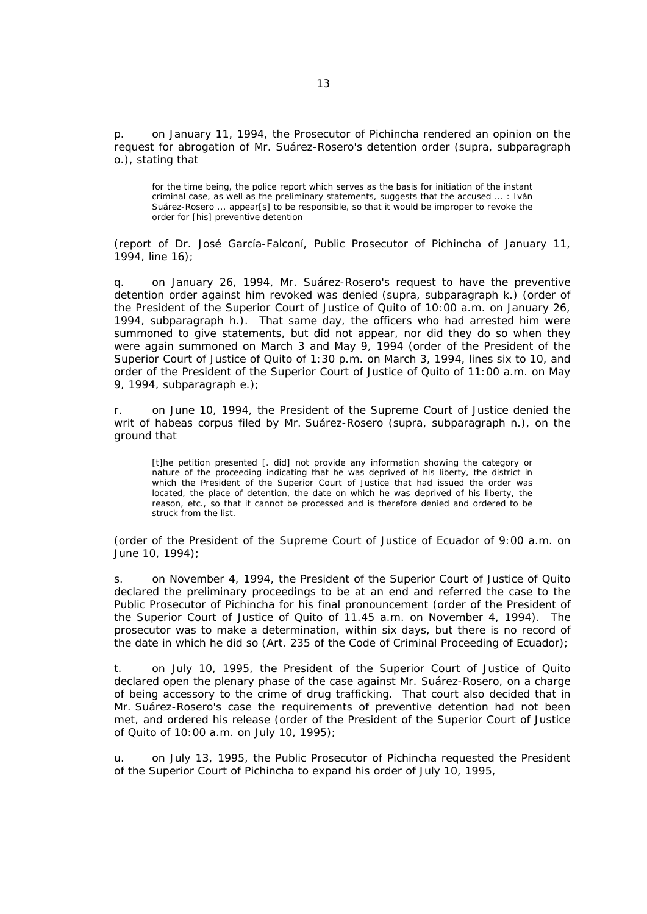p. on January 11, 1994, the Prosecutor of Pichincha rendered an opinion on the request for abrogation of Mr. Suárez-Rosero's detention order (*supra*, subparagraph o.), stating that

for the time being, the police report which serves as the basis for initiation of the instant criminal case, as well as the preliminary statements, suggests that the accused ... : Iván Suárez-Rosero ... appear[s] to be responsible, so that it would be improper to revoke the order for [his] preventive detention

(report of Dr. José García-Falconí, Public Prosecutor of Pichincha of January 11, 1994, line 16);

q. on January 26, 1994, Mr. Suárez-Rosero's request to have the preventive detention order against him revoked was denied *(supra*, subparagraph k.) (order of the President of the Superior Court of Justice of Quito of 10:00 a.m. on January 26, 1994, subparagraph h.). That same day, the officers who had arrested him were summoned to give statements, but did not appear, nor did they do so when they were again summoned on March 3 and May 9, 1994 (order of the President of the Superior Court of Justice of Quito of 1:30 p.m. on March 3, 1994, lines six to 10, and order of the President of the Superior Court of Justice of Quito of 11:00 a.m. on May 9, 1994, subparagraph e.);

r. on June 10, 1994, the President of the Supreme Court of Justice denied the writ of *habeas corpus* filed by Mr. Suárez-Rosero (*supra*, subparagraph n.), on the ground that

[t]he petition presented [. did] not provide any information showing the category or nature of the proceeding indicating that he was deprived of his liberty, the district in which the President of the Superior Court of Justice that had issued the order was located, the place of detention, the date on which he was deprived of his liberty, the reason, etc., so that it cannot be processed and is therefore denied and ordered to be struck from the list.

(order of the President of the Supreme Court of Justice of Ecuador of 9:00 a.m. on June 10, 1994);

s. on November 4, 1994, the President of the Superior Court of Justice of Quito declared the preliminary proceedings to be at an end and referred the case to the Public Prosecutor of Pichincha for his final pronouncement (order of the President of the Superior Court of Justice of Quito of 11.45 a.m. on November 4, 1994). The prosecutor was to make a determination, within six days, but there is no record of the date in which he did so (Art. 235 of the Code of Criminal Proceeding of Ecuador);

t. on July 10, 1995, the President of the Superior Court of Justice of Quito declared open the plenary phase of the case against Mr. Suárez-Rosero, on a charge of being accessory to the crime of drug trafficking. That court also decided that in Mr. Suárez-Rosero's case the requirements of preventive detention had not been met, and ordered his release (order of the President of the Superior Court of Justice of Quito of 10:00 a.m. on July 10, 1995);

u. on July 13, 1995, the Public Prosecutor of Pichincha requested the President of the Superior Court of Pichincha to expand his order of July 10, 1995,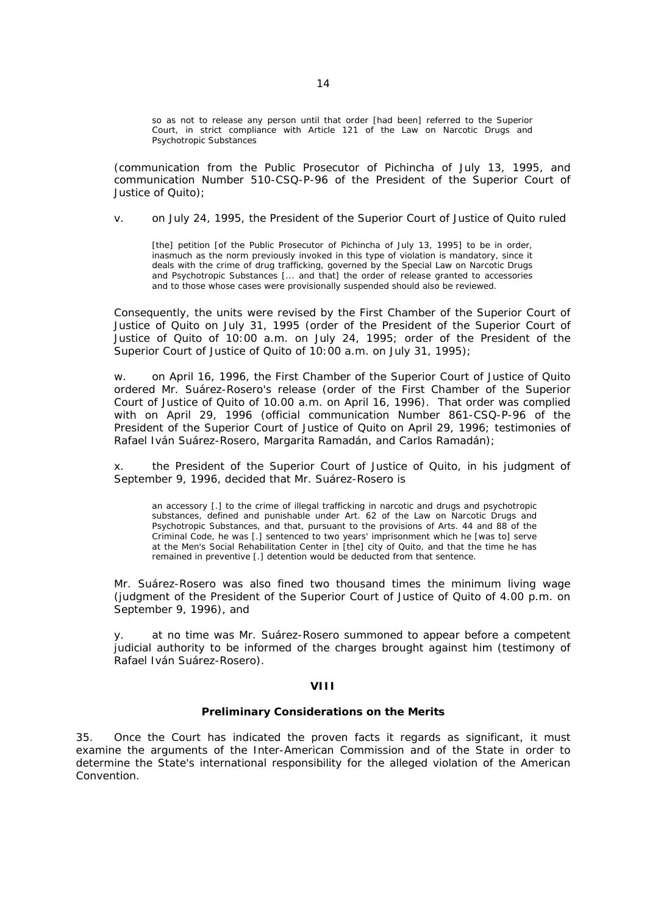so as not to release any person until that order [had been] referred to the Superior Court, in strict compliance with Article 121 of the Law on Narcotic Drugs and Psychotropic Substances

(communication from the Public Prosecutor of Pichincha of July 13, 1995, and communication Number 510-CSQ-P-96 of the President of the Superior Court of Justice of Quito);

v. on July 24, 1995, the President of the Superior Court of Justice of Quito ruled

[the] petition [of the Public Prosecutor of Pichincha of July 13, 1995] to be in order, inasmuch as the norm previously invoked in this type of violation is mandatory, since it deals with the crime of drug trafficking, governed by the Special Law on Narcotic Drugs and Psychotropic Substances [... and that] the order of release granted to accessories and to those whose cases were provisionally suspended should also be reviewed.

Consequently, the units were revised by the First Chamber of the Superior Court of Justice of Quito on July 31, 1995 (order of the President of the Superior Court of Justice of Quito of 10:00 a.m. on July 24, 1995; order of the President of the Superior Court of Justice of Quito of 10:00 a.m. on July 31, 1995);

w. on April 16, 1996, the First Chamber of the Superior Court of Justice of Quito ordered Mr. Suárez-Rosero's release (order of the First Chamber of the Superior Court of Justice of Quito of 10.00 a.m. on April 16, 1996). That order was complied with on April 29, 1996 (official communication Number 861-CSQ-P-96 of the President of the Superior Court of Justice of Quito on April 29, 1996; testimonies of Rafael Iván Suárez-Rosero, Margarita Ramadán, and Carlos Ramadán);

x. the President of the Superior Court of Justice of Quito, in his judgment of September 9, 1996, decided that Mr. Suárez-Rosero is

an accessory [.] to the crime of illegal trafficking in narcotic and drugs and psychotropic substances, defined and punishable under Art. 62 of the Law on Narcotic Drugs and Psychotropic Substances, and that, pursuant to the provisions of Arts. 44 and 88 of the Criminal Code, he was [.] sentenced to two years' imprisonment which he [was to] serve at the Men's Social Rehabilitation Center in [the] city of Quito, and that the time he has remained in preventive [.] detention would be deducted from that sentence.

Mr. Suárez-Rosero was also fined two thousand times the minimum living wage (judgment of the President of the Superior Court of Justice of Quito of 4.00 p.m. on September 9, 1996), and

y. at no time was Mr. Suárez-Rosero summoned to appear before a competent judicial authority to be informed of the charges brought against him (testimony of Rafael Iván Suárez-Rosero).

# **VIII**

#### **Preliminary Considerations on the Merits**

35. Once the Court has indicated the proven facts it regards as significant, it must examine the arguments of the Inter-American Commission and of the State in order to determine the State's international responsibility for the alleged violation of the American Convention.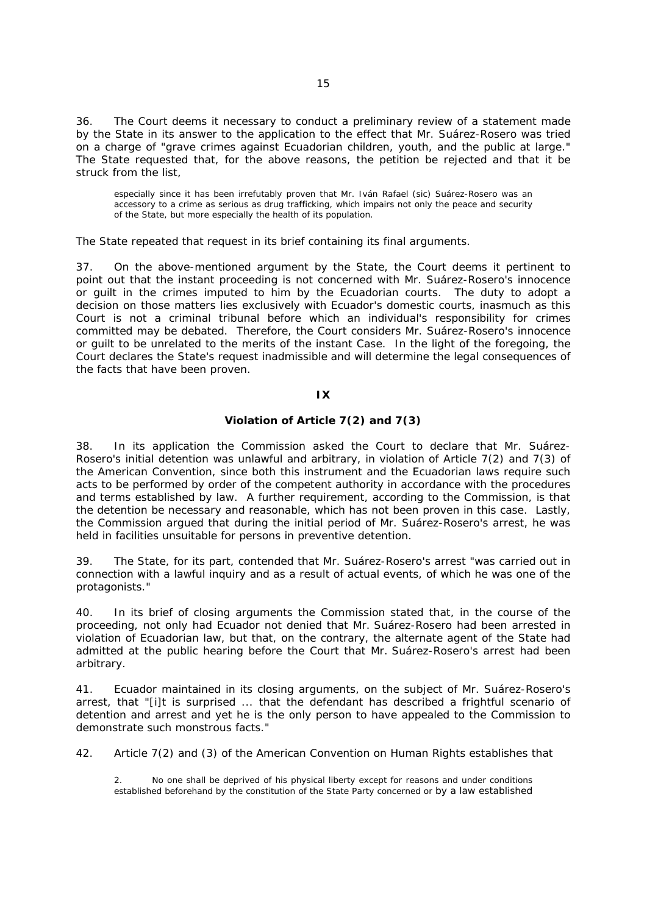36. The Court deems it necessary to conduct a preliminary review of a statement made by the State in its answer to the application to the effect that Mr. Suárez-Rosero was tried on a charge of "*grave crimes against Ecuadorian children, youth, and the public at large.*" The State requested that, for the above reasons, the petition be rejected and that it be struck from the list,

especially since it has been irrefutably proven that Mr. Iván Rafael (*sic*) Suárez-Rosero was an accessory to a crime as serious as drug trafficking, which impairs not only the peace and security of the State, but more especially the health of its population.

The State repeated that request in its brief containing its final arguments.

37. On the above-mentioned argument by the State, the Court deems it pertinent to point out that the instant proceeding is not concerned with Mr. Suárez-Rosero's innocence or guilt in the crimes imputed to him by the Ecuadorian courts. The duty to adopt a decision on those matters lies exclusively with Ecuador's domestic courts, inasmuch as this Court is not a criminal tribunal before which an individual's responsibility for crimes committed may be debated. Therefore, the Court considers Mr. Suárez-Rosero's innocence or guilt to be unrelated to the merits of the instant Case. In the light of the foregoing, the Court declares the State's request inadmissible and will determine the legal consequences of the facts that have been proven.

### **IX**

# **Violation of Article 7(2) and 7(3)**

38. In its application the Commission asked the Court to declare that Mr. Suárez-Rosero's initial detention was unlawful and arbitrary, in violation of Article 7(2) and 7(3) of the American Convention, since both this instrument and the Ecuadorian laws require such acts to be performed by order of the competent authority in accordance with the procedures and terms established by law. A further requirement, according to the Commission, is that the detention be necessary and reasonable, which has not been proven in this case. Lastly, the Commission argued that during the initial period of Mr. Suárez-Rosero's arrest, he was held in facilities unsuitable for persons in preventive detention.

39. The State, for its part, contended that Mr. Suárez-Rosero's arrest "*was carried out in connection with a lawful inquiry and as a result of actual events, of which he was one of the protagonists.*"

40. In its brief of closing arguments the Commission stated that, in the course of the proceeding, not only had Ecuador not denied that Mr. Suárez-Rosero had been arrested in violation of Ecuadorian law, but that, on the contrary, the alternate agent of the State had admitted at the public hearing before the Court that Mr. Suárez-Rosero's arrest had been arbitrary.

41. Ecuador maintained in its closing arguments, on the subject of Mr. Suárez-Rosero's arrest, that "[i]*t is surprised* ... *that the defendant has described a frightful scenario of detention and arrest and yet he is the only person to have appealed to the Commission to demonstrate such monstrous facts.*"

42. Article 7(2) and (3) of the American Convention on Human Rights establishes that

2. No one shall be deprived of his physical liberty except for reasons and under conditions established beforehand by the constitution of the State Party concerned or by a law established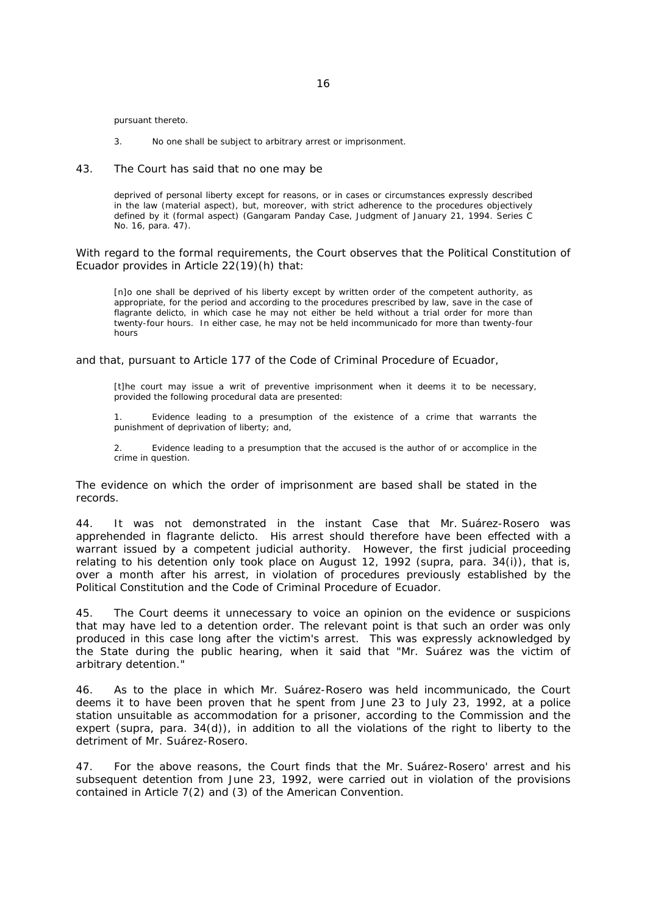pursuant thereto.

3. No one shall be subject to arbitrary arrest or imprisonment.

#### 43. The Court has said that no one may be

deprived of personal liberty except for reasons, or in cases or circumstances expressly described in the law (material aspect), but, moreover, with strict adherence to the procedures objectively defined by it (formal aspect) (*Gangaram Panday Case,* Judgment of January 21, 1994. Series C No. 16, para. 47).

With regard to the formal requirements, the Court observes that the Political Constitution of Ecuador provides in Article 22(19)(h) that:

[n]o one shall be deprived of his liberty except by written order of the competent authority, as appropriate, for the period and according to the procedures prescribed by law, save in the case of *flagrante delicto*, in which case he may not either be held without a trial order for more than twenty-four hours. In either case, he may not be held incommunicado for more than twenty-four hours

and that, pursuant to Article 177 of the Code of Criminal Procedure of Ecuador,

[t]he court may issue a writ of preventive imprisonment when it deems it to be necessary, provided the following procedural data are presented:

 1. Evidence leading to a presumption of the existence of a crime that warrants the punishment of deprivation of liberty; and,

 2. Evidence leading to a presumption that the accused is the author of or accomplice in the crime in question.

The evidence on which the order of imprisonment are based shall be stated in the records.

44. It was not demonstrated in the instant Case that Mr. Suárez-Rosero was apprehended *in flagrante delicto.* His arrest should therefore have been effected with a warrant issued by a competent judicial authority. However, the first judicial proceeding relating to his detention only took place on August 12, 1992 (*supra,* para*.* 34(i)), that is, over a month after his arrest, in violation of procedures previously established by the Political Constitution and the Code of Criminal Procedure of Ecuador.

45. The Court deems it unnecessary to voice an opinion on the evidence or suspicions that may have led to a detention order. The relevant point is that such an order was only produced in this case long after the victim's arrest. This was expressly acknowledged by the State during the public hearing, when it said that "*Mr. Suárez was the victim of arbitrary detention*."

46. As to the place in which Mr. Suárez-Rosero was held incommunicado, the Court deems it to have been proven that he spent from June 23 to July 23, 1992, at a police station unsuitable as accommodation for a prisoner, according to the Commission and the expert (*supra,* para. 34(d)), in addition to all the violations of the right to liberty to the detriment of Mr. Suárez-Rosero.

47. For the above reasons, the Court finds that the Mr. Suárez-Rosero' arrest and his subsequent detention from June 23, 1992, were carried out in violation of the provisions contained in Article 7(2) and (3) of the American Convention.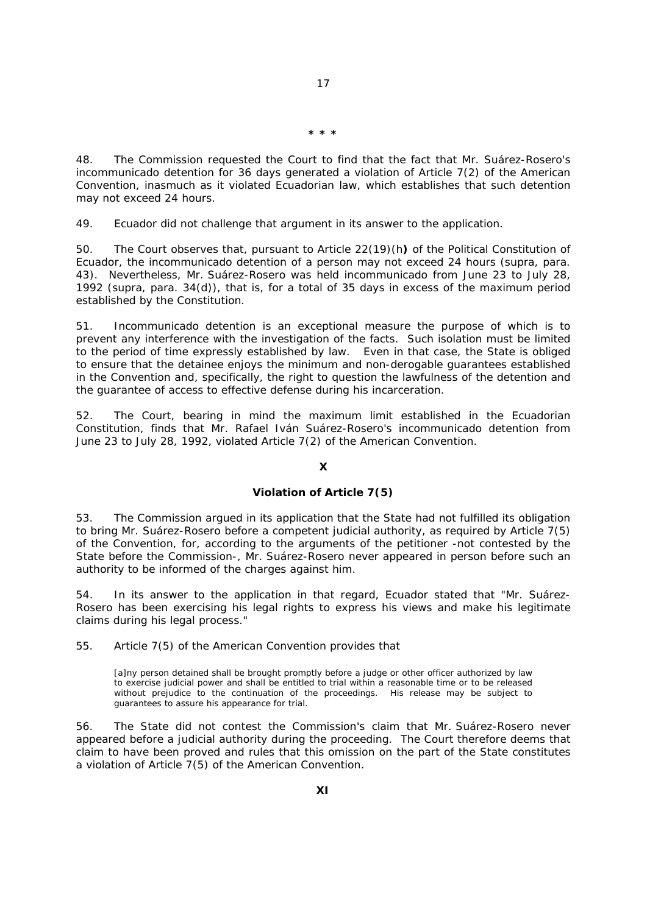**\* \* \***

48. The Commission requested the Court to find that the fact that Mr. Suárez-Rosero's incommunicado detention for 36 days generated a violation of Article 7(2) of the American Convention, inasmuch as it violated Ecuadorian law, which establishes that such detention may not exceed 24 hours.

49. Ecuador did not challenge that argument in its answer to the application.

50. The Court observes that, pursuant to Article 22(19)(h**)** of the Political Constitution of Ecuador, the incommunicado detention of a person may not exceed 24 hours (*supra,* para. 43). Nevertheless, Mr. Suárez-Rosero was held incommunicado from June 23 to July 28, 1992 (*supra,* para. 34(d)), that is, for a total of 35 days in excess of the maximum period established by the Constitution.

51. Incommunicado detention is an exceptional measure the purpose of which is to prevent any interference with the investigation of the facts. Such isolation must be limited to the period of time expressly established by law. Even in that case, the State is obliged to ensure that the detainee enjoys the minimum and non-derogable guarantees established in the Convention and, specifically, the right to question the lawfulness of the detention and the guarantee of access to effective defense during his incarceration.

52. The Court, bearing in mind the maximum limit established in the Ecuadorian Constitution, finds that Mr. Rafael Iván Suárez-Rosero's incommunicado detention from June 23 to July 28, 1992, violated Article 7(2) of the American Convention.

### **X**

# **Violation of Article 7(5)**

53. The Commission argued in its application that the State had not fulfilled its obligation to bring Mr. Suárez-Rosero before a competent judicial authority, as required by Article 7(5) of the Convention, for, according to the arguments of the petitioner -not contested by the State before the Commission-, Mr. Suárez-Rosero never appeared in person before such an authority to be informed of the charges against him.

54. In its answer to the application in that regard, Ecuador stated that "*Mr. Suárez-Rosero has been exercising his legal rights to express his views and make his legitimate claims during his legal process.*"

55. Article 7(5) of the American Convention provides that

[a]ny person detained shall be brought promptly before a judge or other officer authorized by law to exercise judicial power and shall be entitled to trial within a reasonable time or to be released without prejudice to the continuation of the proceedings. His release may be subject to guarantees to assure his appearance for trial.

56. The State did not contest the Commission's claim that Mr. Suárez-Rosero never appeared before a judicial authority during the proceeding. The Court therefore deems that claim to have been proved and rules that this omission on the part of the State constitutes a violation of Article 7(5) of the American Convention.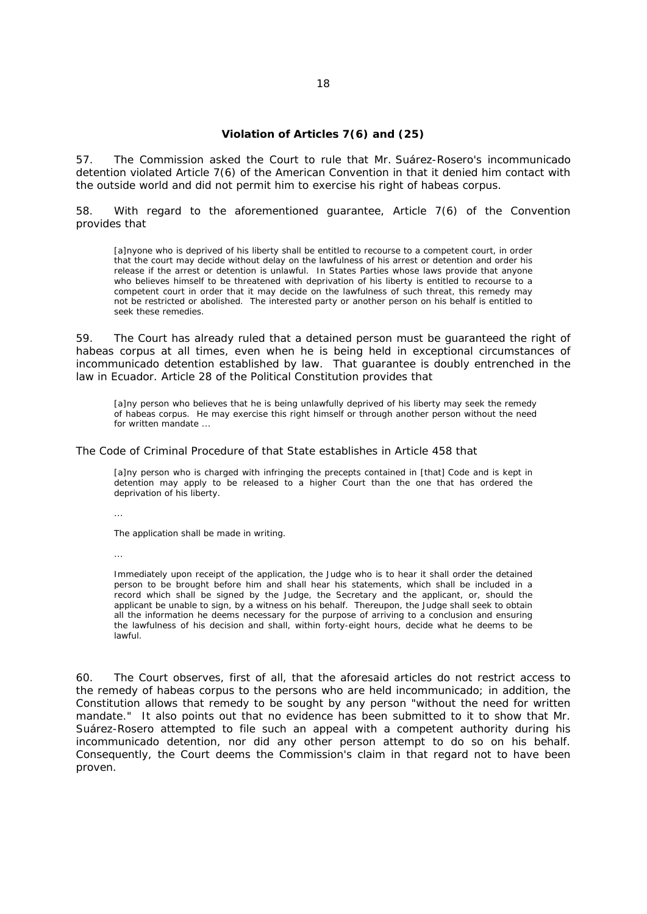### **Violation of Articles 7(6) and (25)**

57. The Commission asked the Court to rule that Mr. Suárez-Rosero's incommunicado detention violated Article 7(6) of the American Convention in that it denied him contact with the outside world and did not permit him to exercise his right of *habeas corpus.* 

58. With regard to the aforementioned guarantee, Article 7(6) of the Convention provides that

[a]nyone who is deprived of his liberty shall be entitled to recourse to a competent court, in order that the court may decide without delay on the lawfulness of his arrest or detention and order his release if the arrest or detention is unlawful. In States Parties whose laws provide that anyone who believes himself to be threatened with deprivation of his liberty is entitled to recourse to a competent court in order that it may decide on the lawfulness of such threat, this remedy may not be restricted or abolished. The interested party or another person on his behalf is entitled to seek these remedies.

59. The Court has already ruled that a detained person must be guaranteed the right of *habeas corpus* at all times, even when he is being held in exceptional circumstances of incommunicado detention established by law. That guarantee is doubly entrenched in the law in Ecuador. Article 28 of the Political Constitution provides that

[a]ny person who believes that he is being unlawfully deprived of his liberty may seek the remedy of *habeas corpus*. He may exercise this right himself or through another person without the need for written mandate ...

The Code of Criminal Procedure of that State establishes in Article 458 that

[a]ny person who is charged with infringing the precepts contained in [that] Code and is kept in detention may apply to be released to a higher Court than the one that has ordered the deprivation of his liberty.

...

The application shall be made in writing.

...

Immediately upon receipt of the application, the Judge who is to hear it shall order the detained person to be brought before him and shall hear his statements, which shall be included in a record which shall be signed by the Judge, the Secretary and the applicant, or, should the applicant be unable to sign, by a witness on his behalf. Thereupon, the Judge shall seek to obtain all the information he deems necessary for the purpose of arriving to a conclusion and ensuring the lawfulness of his decision and shall, within forty-eight hours, decide what he deems to be lawful.

60. The Court observes, first of all, that the aforesaid articles do not restrict access to the remedy of *habeas corpus* to the persons who are held incommunicado; in addition, the Constitution allows that remedy to be sought by any person "*without the need for written mandate.*" It also points out that no evidence has been submitted to it to show that Mr. Suárez-Rosero attempted to file such an appeal with a competent authority during his incommunicado detention, nor did any other person attempt to do so on his behalf. Consequently, the Court deems the Commission's claim in that regard not to have been proven.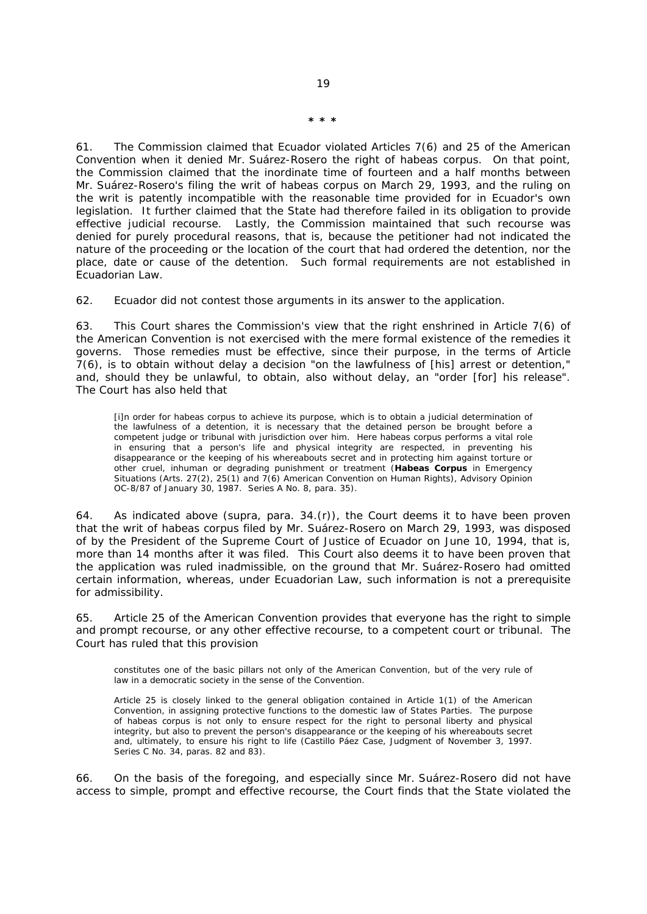61. The Commission claimed that Ecuador violated Articles 7(6) and 25 of the American Convention when it denied Mr. Suárez-Rosero the right of *habeas corpus.* On that point, the Commission claimed that the inordinate time of fourteen and a half months between Mr. Suárez-Rosero's filing the writ of *habeas corpus* on March 29, 1993, and the ruling on the writ is patently incompatible with the reasonable time provided for in Ecuador's own legislation. It further claimed that the State had therefore failed in its obligation to provide effective judicial recourse. Lastly, the Commission maintained that such recourse was denied for purely procedural reasons, that is, because the petitioner had not indicated the nature of the proceeding or the location of the court that had ordered the detention, nor the place, date or cause of the detention. Such formal requirements are not established in Ecuadorian Law.

62. Ecuador did not contest those arguments in its answer to the application.

63. This Court shares the Commission's view that the right enshrined in Article 7(6) of the American Convention is not exercised with the mere formal existence of the remedies it governs. Those remedies must be effective, since their purpose, in the terms of Article 7(6), is to obtain without delay a decision "*on the lawfulness of* [his] *arrest or detention*," and, should they be unlawful, to obtain, also without delay, an "*order* [for] *his release*". The Court has also held that

[i]n order for *habeas corpus* to achieve its purpose, which is to obtain a judicial determination of the lawfulness of a detention, it is necessary that the detained person be brought before a competent judge or tribunal with jurisdiction over him. Here *habeas corpus* performs a vital role in ensuring that a person's life and physical integrity are respected, in preventing his disappearance or the keeping of his whereabouts secret and in protecting him against torture or other cruel, inhuman or degrading punishment or treatment *(Habeas Corpus in Emergency Situations (Arts. 27(2), 25(1) and 7(6) American Convention on Human Rights)*, Advisory Opinion OC-8/87 of January 30, 1987. Series A No. 8, para. 35).

64. As indicated above (*supra,* para. 34.(r)), the Court deems it to have been proven that the writ of *habeas corpus* filed by Mr. Suárez-Rosero on March 29, 1993, was disposed of by the President of the Supreme Court of Justice of Ecuador on June 10, 1994, that is, more than 14 months after it was filed. This Court also deems it to have been proven that the application was ruled inadmissible, on the ground that Mr. Suárez-Rosero had omitted certain information, whereas, under Ecuadorian Law, such information is not a prerequisite for admissibility.

65. Article 25 of the American Convention provides that everyone has the right to simple and prompt recourse, or any other effective recourse, to a competent court or tribunal. The Court has ruled that this provision

constitutes one of the basic pillars not only of the American Convention, but of the very rule of law in a democratic society in the sense of the Convention.

Article 25 is closely linked to the general obligation contained in Article 1(1) of the American Convention, in assigning protective functions to the domestic law of States Parties. The purpose of *habeas corpus* is not only to ensure respect for the right to personal liberty and physical integrity, but also to prevent the person's disappearance or the keeping of his whereabouts secret and, ultimately, to ensure his right to life (*Castillo Páez Case,* Judgment of November 3, 1997. Series C No. 34, paras. 82 and 83).

66. On the basis of the foregoing, and especially since Mr. Suárez-Rosero did not have access to simple, prompt and effective recourse, the Court finds that the State violated the

**\* \* \***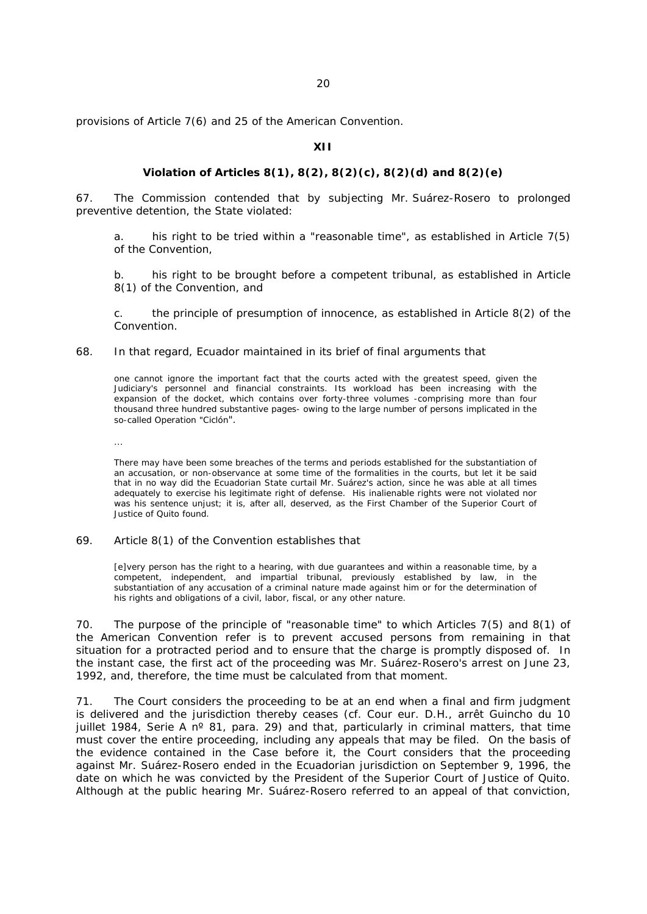provisions of Article 7(6) and 25 of the American Convention.

### **XII**

#### **Violation of Articles 8(1), 8(2), 8(2)(c), 8(2)(d) and 8(2)(e)**

67. The Commission contended that by subjecting Mr. Suárez-Rosero to prolonged preventive detention, the State violated:

a. his right to be tried within a "*reasonable time*", as established in Article 7(5) of the Convention,

b. his right to be brought before a competent tribunal, as established in Article 8(1) of the Convention, and

c. the principle of presumption of innocence, as established in Article 8(2) of the Convention.

### 68. In that regard, Ecuador maintained in its brief of final arguments that

 one cannot ignore the important fact that the courts acted with the greatest speed, given the Judiciary's personnel and financial constraints. Its workload has been increasing with the expansion of the docket, which contains over forty-three volumes -comprising more than four thousand three hundred substantive pages- owing to the large number of persons implicated in the so-called Operation "Ciclón".

...

There may have been some breaches of the terms and periods established for the substantiation of an accusation, or non-observance at some time of the formalities in the courts, but let it be said that in no way did the Ecuadorian State curtail Mr. Suárez's action, since he was able at all times adequately to exercise his legitimate right of defense. His inalienable rights were not violated nor was his sentence unjust; it is, after all, deserved, as the First Chamber of the Superior Court of Justice of Quito found.

## 69. Article 8(1) of the Convention establishes that

[e]very person has the right to a hearing, with due guarantees and within a reasonable time, by a competent, independent, and impartial tribunal, previously established by law, in the substantiation of any accusation of a criminal nature made against him or for the determination of his rights and obligations of a civil, labor, fiscal, or any other nature.

70. The purpose of the principle of "*reasonable time*" to which Articles 7(5) and 8(1) of the American Convention refer is to prevent accused persons from remaining in that situation for a protracted period and to ensure that the charge is promptly disposed of. In the instant case, the first act of the proceeding was Mr. Suárez-Rosero's arrest on June 23, 1992, and, therefore, the time must be calculated from that moment.

71. The Court considers the proceeding to be at an end when a final and firm judgment is delivered and the jurisdiction thereby ceases (cf. *Cour eur. D.H., arrêt Guincho du 10 juillet 1984, Serie A nº 81,* para. 29) and that, particularly in criminal matters, that time must cover the entire proceeding, including any appeals that may be filed. On the basis of the evidence contained in the Case before it, the Court considers that the proceeding against Mr. Suárez-Rosero ended in the Ecuadorian jurisdiction on September 9, 1996, the date on which he was convicted by the President of the Superior Court of Justice of Quito. Although at the public hearing Mr. Suárez-Rosero referred to an appeal of that conviction,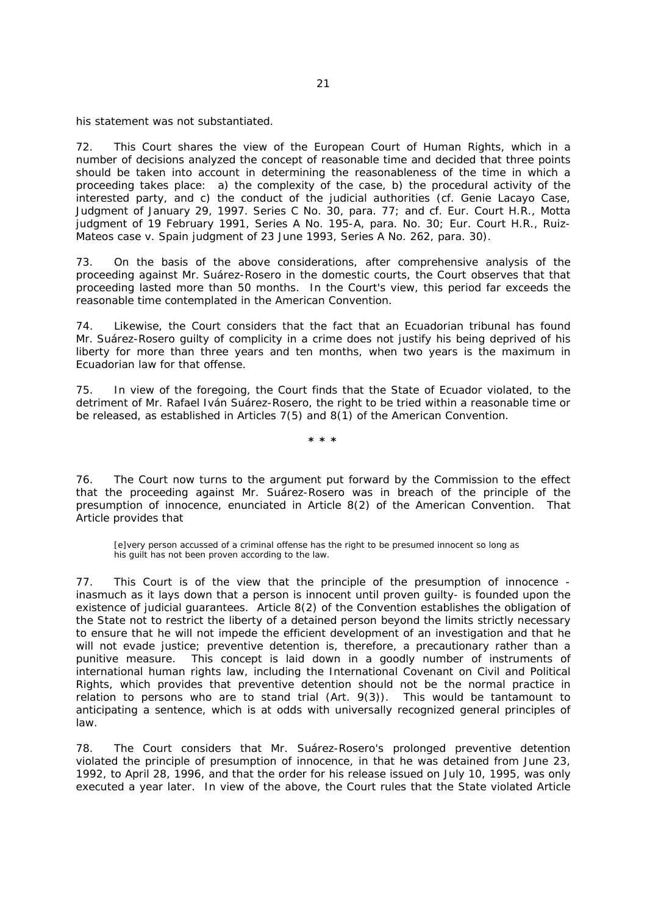his statement was not substantiated.

72. This Court shares the view of the European Court of Human Rights, which in a number of decisions analyzed the concept of reasonable time and decided that three points should be taken into account in determining the reasonableness of the time in which a proceeding takes place: a) the complexity of the case, b) the procedural activity of the interested party, and c) the conduct of the judicial authorities (cf. *Genie Lacayo Case,* Judgment of January 29, 1997. Series C No. 30, para. 77; and cf. Eur. Court H.R., *Motta*  judgment of 19 February 1991, Series A No. 195-A, para. No. 30; Eur. Court H.R., Ruiz-*Mateos case v. Spain judgment of 23 June 1993, Series A No. 262*, para. 30*).*

73. On the basis of the above considerations, after comprehensive analysis of the proceeding against Mr. Suárez-Rosero in the domestic courts, the Court observes that that proceeding lasted more than 50 months. In the Court's view, this period far exceeds the reasonable time contemplated in the American Convention.

74. Likewise, the Court considers that the fact that an Ecuadorian tribunal has found Mr. Suárez-Rosero guilty of complicity in a crime does not justify his being deprived of his liberty for more than three years and ten months, when two years is the maximum in Ecuadorian law for that offense.

75. In view of the foregoing, the Court finds that the State of Ecuador violated, to the detriment of Mr. Rafael Iván Suárez-Rosero, the right to be tried within a reasonable time or be released, as established in Articles 7(5) and 8(1) of the American Convention.

**\* \* \***

76. The Court now turns to the argument put forward by the Commission to the effect that the proceeding against Mr. Suárez-Rosero was in breach of the principle of the presumption of innocence, enunciated in Article 8(2) of the American Convention. That Article provides that

[e]very person accussed of a criminal offense has the right to be presumed innocent so long as his guilt has not been proven according to the law.

77. This Court is of the view that the principle of the presumption of innocence inasmuch as it lays down that a person is innocent until proven guilty- is founded upon the existence of judicial guarantees. Article 8(2) of the Convention establishes the obligation of the State not to restrict the liberty of a detained person beyond the limits strictly necessary to ensure that he will not impede the efficient development of an investigation and that he will not evade justice; preventive detention is, therefore, a precautionary rather than a punitive measure. This concept is laid down in a goodly number of instruments of international human rights law, including the International Covenant on Civil and Political Rights, which provides that preventive detention should not be the normal practice in relation to persons who are to stand trial (Art. 9(3)). This would be tantamount to anticipating a sentence, which is at odds with universally recognized general principles of law.

78. The Court considers that Mr. Suárez-Rosero's prolonged preventive detention violated the principle of presumption of innocence, in that he was detained from June 23, 1992, to April 28, 1996, and that the order for his release issued on July 10, 1995, was only executed a year later. In view of the above, the Court rules that the State violated Article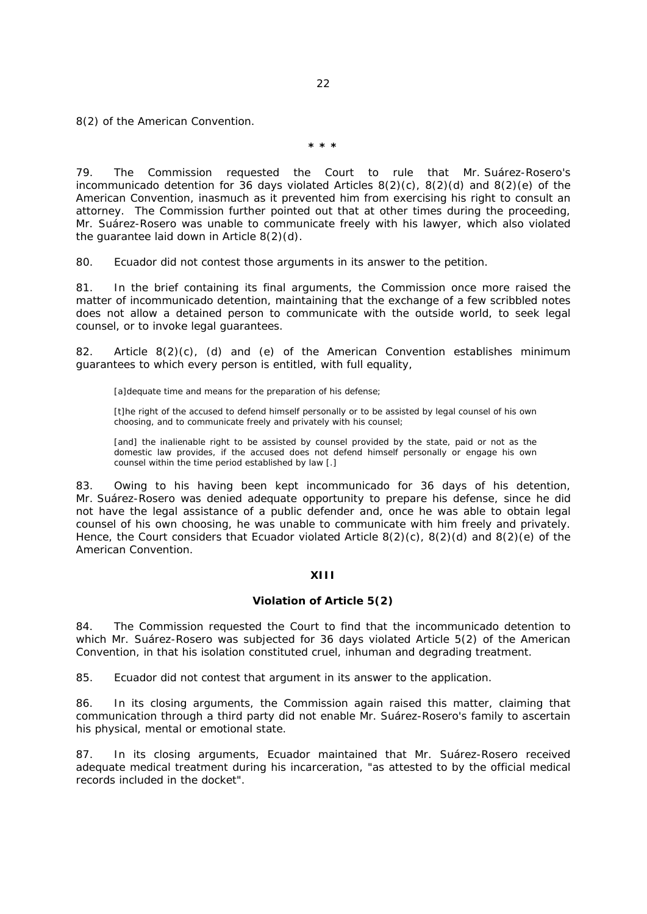8(2) of the American Convention.

**\* \* \***

79. The Commission requested the Court to rule that Mr. Suárez-Rosero's incommunicado detention for 36 days violated Articles 8(2)(c), 8(2)(d) and 8(2)(e) of the American Convention, inasmuch as it prevented him from exercising his right to consult an attorney. The Commission further pointed out that at other times during the proceeding, Mr. Suárez-Rosero was unable to communicate freely with his lawyer, which also violated the guarantee laid down in Article 8(2)(d).

80. Ecuador did not contest those arguments in its answer to the petition.

81. In the brief containing its final arguments, the Commission once more raised the matter of incommunicado detention, maintaining that the exchange of a few scribbled notes does not allow a detained person to communicate with the outside world, to seek legal counsel, or to invoke legal guarantees.

82. Article 8(2)(c), (d) and (e) of the American Convention establishes minimum guarantees to which every person is entitled, with full equality,

[a]dequate time and means for the preparation of his defense;

[t]he right of the accused to defend himself personally or to be assisted by legal counsel of his own choosing, and to communicate freely and privately with his counsel;

[and] the inalienable right to be assisted by counsel provided by the state, paid or not as the domestic law provides, if the accused does not defend himself personally or engage his own counsel within the time period established by law [.]

83. Owing to his having been kept incommunicado for 36 days of his detention, Mr. Suárez-Rosero was denied adequate opportunity to prepare his defense, since he did not have the legal assistance of a public defender and, once he was able to obtain legal counsel of his own choosing, he was unable to communicate with him freely and privately. Hence, the Court considers that Ecuador violated Article 8(2)(c), 8(2)(d) and 8(2)(e) of the American Convention.

# **XIII**

## **Violation of Article 5(2)**

84. The Commission requested the Court to find that the incommunicado detention to which Mr. Suárez-Rosero was subjected for 36 days violated Article 5(2) of the American Convention, in that his isolation constituted cruel, inhuman and degrading treatment.

85. Ecuador did not contest that argument in its answer to the application.

86. In its closing arguments, the Commission again raised this matter, claiming that communication through a third party did not enable Mr. Suárez-Rosero's family to ascertain his physical, mental or emotional state.

87. In its closing arguments, Ecuador maintained that Mr. Suárez-Rosero received adequate medical treatment during his incarceration, "*as attested to by the official medical records included in the docket*"*.*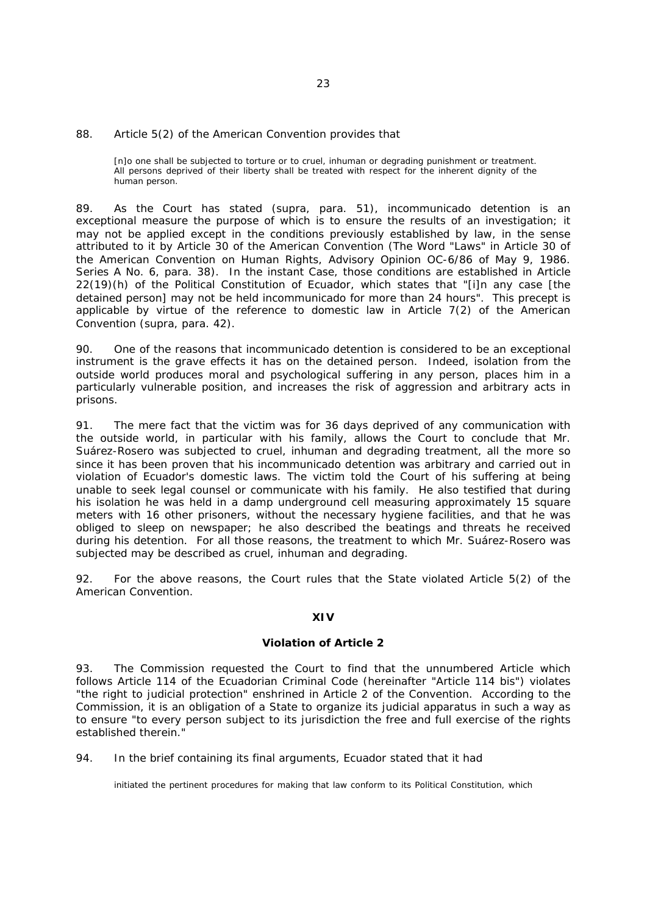#### 88. Article 5(2) of the American Convention provides that

[n]o one shall be subjected to torture or to cruel, inhuman or degrading punishment or treatment. All persons deprived of their liberty shall be treated with respect for the inherent dignity of the human person.

89. As the Court has stated (*supra,* para. 51), incommunicado detention is an exceptional measure the purpose of which is to ensure the results of an investigation; it may not be applied except in the conditions previously established by law, in the sense attributed to it by Article 30 of the American Convention (*The Word* "*Laws*" *in Article 30 of the American Convention on Human Rights*, Advisory Opinion OC-6/86 of May 9, 1986. Series A No. 6, para. 38). In the instant Case, those conditions are established in Article 22(19)(h) of the Political Constitution of Ecuador, which states that "[i]*n any case* [the detained person] *may not be held incommunicado for more than 24 hours*"*.* This precept is applicable by virtue of the reference to domestic law in Article 7(2) of the American Convention (*supra,* para. 42).

90. One of the reasons that incommunicado detention is considered to be an exceptional instrument is the grave effects it has on the detained person. Indeed, isolation from the outside world produces moral and psychological suffering in any person, places him in a particularly vulnerable position, and increases the risk of aggression and arbitrary acts in prisons.

91. The mere fact that the victim was for 36 days deprived of any communication with the outside world, in particular with his family, allows the Court to conclude that Mr. Suárez-Rosero was subjected to cruel, inhuman and degrading treatment, all the more so since it has been proven that his incommunicado detention was arbitrary and carried out in violation of Ecuador's domestic laws. The victim told the Court of his suffering at being unable to seek legal counsel or communicate with his family. He also testified that during his isolation he was held in a damp underground cell measuring approximately 15 square meters with 16 other prisoners, without the necessary hygiene facilities, and that he was obliged to sleep on newspaper; he also described the beatings and threats he received during his detention. For all those reasons, the treatment to which Mr. Suárez-Rosero was subjected may be described as cruel, inhuman and degrading.

92. For the above reasons, the Court rules that the State violated Article 5(2) of the American Convention.

# **XIV**

#### **Violation of Article 2**

93. The Commission requested the Court to find that the unnumbered Article which follows Article 114 of the Ecuadorian Criminal Code (hereinafter "Article 114 *bis*") violates "*the right to judicial protection*" enshrined in Article 2 of the Convention. According to the Commission, it is an obligation of a State to organize its judicial apparatus in such a way as to ensure "*to every person subject to its jurisdiction the free and full exercise of the rights established therein.*"

94. In the brief containing its final arguments, Ecuador stated that it had

initiated the pertinent procedures for making that law conform to its Political Constitution, which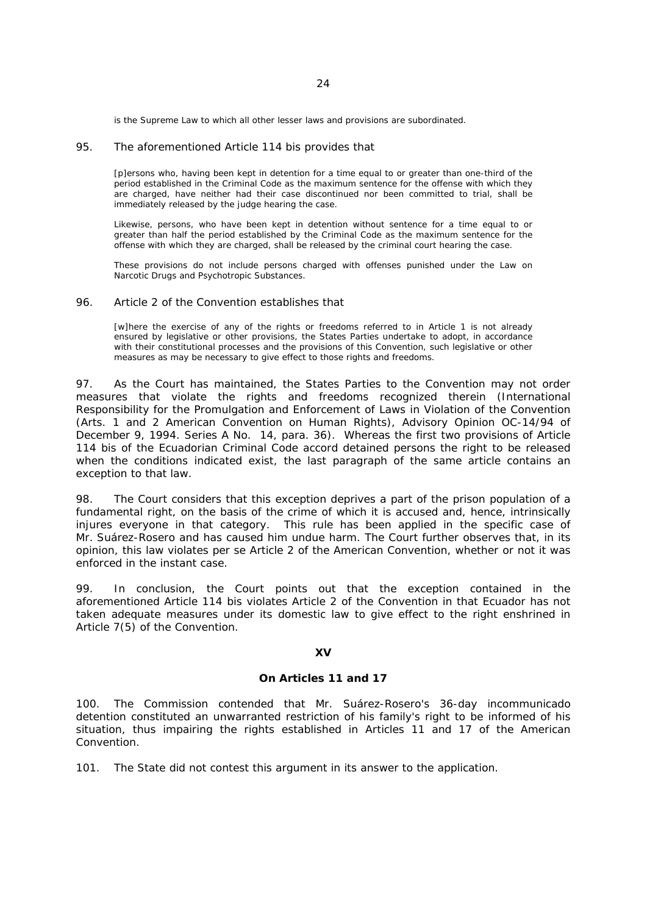is the Supreme Law to which all other lesser laws and provisions are subordinated.

#### 95. The aforementioned Article 114 *bis* provides that

[p]ersons who, having been kept in detention for a time equal to or greater than one-third of the period established in the Criminal Code as the maximum sentence for the offense with which they are charged, have neither had their case discontinued nor been committed to trial, shall be immediately released by the judge hearing the case.

Likewise, persons, who have been kept in detention without sentence for a time equal to or greater than half the period established by the Criminal Code as the maximum sentence for the offense with which they are charged, shall be released by the criminal court hearing the case.

These provisions do not include persons charged with offenses punished under the Law on Narcotic Drugs and Psychotropic Substances.

### 96. Article 2 of the Convention establishes that

[w]here the exercise of any of the rights or freedoms referred to in Article 1 is not already ensured by legislative or other provisions, the States Parties undertake to adopt, in accordance with their constitutional processes and the provisions of this Convention, such legislative or other measures as may be necessary to give effect to those rights and freedoms.

97. As the Court has maintained, the States Parties to the Convention may not order measures that violate the rights and freedoms recognized therein (*International Responsibility for the Promulgation and Enforcement of Laws in Violation of the Convention (Arts. 1 and 2 American Convention on Human Rights),* Advisory Opinion OC-14/94 of December 9, 1994. Series A No. 14, para. 36). Whereas the first two provisions of Article 114 *bis* of the Ecuadorian Criminal Code accord detained persons the right to be released when the conditions indicated exist, the last paragraph of the same article contains an exception to that law.

98. The Court considers that this exception deprives a part of the prison population of a fundamental right, on the basis of the crime of which it is accused and, hence, intrinsically injures everyone in that category. This rule has been applied in the specific case of Mr. Suárez-Rosero and has caused him undue harm. The Court further observes that, in its opinion, this law violates *per se* Article 2 of the American Convention, whether or not it was enforced in the instant case.

99. In conclusion, the Court points out that the exception contained in the aforementioned Article 114 *bis* violates Article 2 of the Convention in that Ecuador has not taken adequate measures under its domestic law to give effect to the right enshrined in Article 7(5) of the Convention.

### **XV**

#### **On Articles 11 and 17**

100. The Commission contended that Mr. Suárez-Rosero's 36-day incommunicado detention constituted an unwarranted restriction of his family's right to be informed of his situation, thus impairing the rights established in Articles 11 and 17 of the American Convention.

101. The State did not contest this argument in its answer to the application.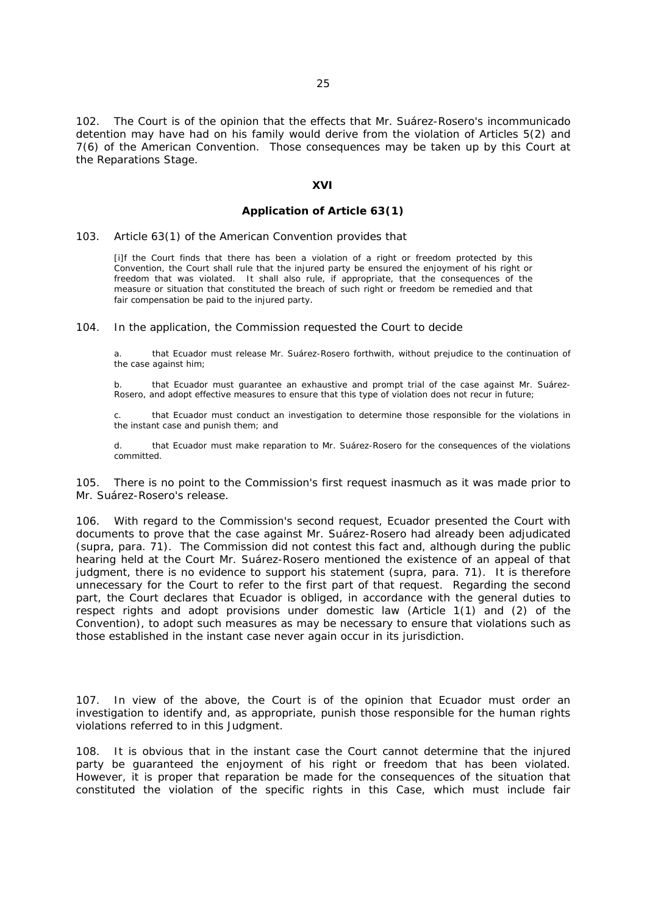102. The Court is of the opinion that the effects that Mr. Suárez-Rosero's incommunicado detention may have had on his family would derive from the violation of Articles 5(2) and 7(6) of the American Convention. Those consequences may be taken up by this Court at the Reparations Stage.

#### **XVI**

# **Application of Article 63(1)**

# 103. Article 63(1) of the American Convention provides that

[i]f the Court finds that there has been a violation of a right or freedom protected by this Convention, the Court shall rule that the injured party be ensured the enjoyment of his right or freedom that was violated. It shall also rule, if appropriate, that the consequences of the measure or situation that constituted the breach of such right or freedom be remedied and that fair compensation be paid to the injured party.

104. In the application, the Commission requested the Court to decide

a. that Ecuador must release Mr. Suárez-Rosero forthwith, without prejudice to the continuation of the case against him;

b. that Ecuador must guarantee an exhaustive and prompt trial of the case against Mr. Suárez-Rosero, and adopt effective measures to ensure that this type of violation does not recur in future;

c. that Ecuador must conduct an investigation to determine those responsible for the violations in the instant case and punish them; and

d. that Ecuador must make reparation to Mr. Suárez-Rosero for the consequences of the violations committed.

105. There is no point to the Commission's first request inasmuch as it was made prior to Mr. Suárez-Rosero's release.

106. With regard to the Commission's second request, Ecuador presented the Court with documents to prove that the case against Mr. Suárez-Rosero had already been adjudicated (*supra,* para. 71). The Commission did not contest this fact and, although during the public hearing held at the Court Mr. Suárez-Rosero mentioned the existence of an appeal of that judgment, there is no evidence to support his statement (*supra,* para. 71). It is therefore unnecessary for the Court to refer to the first part of that request. Regarding the second part, the Court declares that Ecuador is obliged, in accordance with the general duties to respect rights and adopt provisions under domestic law (Article 1(1) and (2) of the Convention), to adopt such measures as may be necessary to ensure that violations such as those established in the instant case never again occur in its jurisdiction.

107. In view of the above, the Court is of the opinion that Ecuador must order an investigation to identify and, as appropriate, punish those responsible for the human rights violations referred to in this Judgment.

108. It is obvious that in the instant case the Court cannot determine that the injured party be guaranteed the enjoyment of his right or freedom that has been violated. However, it is proper that reparation be made for the consequences of the situation that constituted the violation of the specific rights in this Case, which must include fair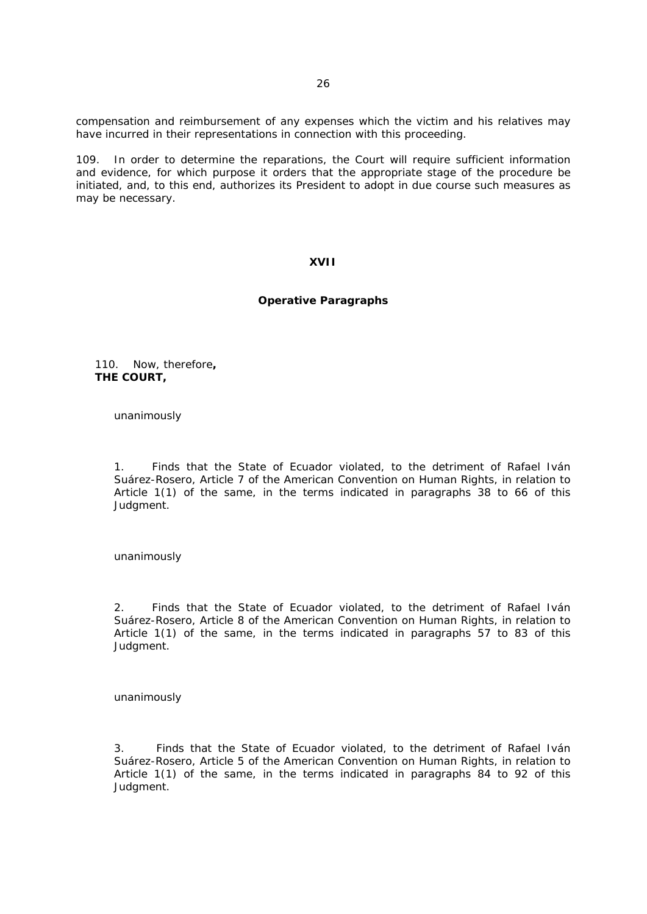compensation and reimbursement of any expenses which the victim and his relatives may have incurred in their representations in connection with this proceeding.

109. In order to determine the reparations, the Court will require sufficient information and evidence, for which purpose it orders that the appropriate stage of the procedure be initiated, and, to this end, authorizes its President to adopt in due course such measures as may be necessary.

### **XVII**

## **Operative Paragraphs**

110. Now, therefore**, THE COURT,**

unanimously

1. Finds that the State of Ecuador violated, to the detriment of Rafael Iván Suárez-Rosero, Article 7 of the American Convention on Human Rights, in relation to Article 1(1) of the same, in the terms indicated in paragraphs 38 to 66 of this Judgment.

unanimously

2. Finds that the State of Ecuador violated, to the detriment of Rafael Iván Suárez-Rosero, Article 8 of the American Convention on Human Rights, in relation to Article 1(1) of the same, in the terms indicated in paragraphs 57 to 83 of this Judgment.

unanimously

3. Finds that the State of Ecuador violated, to the detriment of Rafael Iván Suárez-Rosero, Article 5 of the American Convention on Human Rights, in relation to Article 1(1) of the same, in the terms indicated in paragraphs 84 to 92 of this Judgment.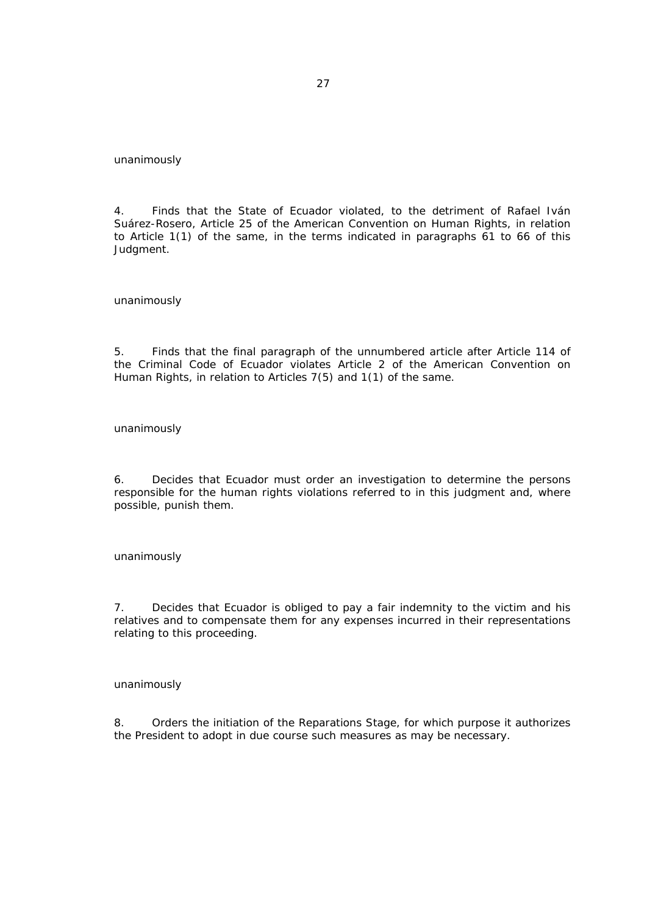unanimously

4. Finds that the State of Ecuador violated, to the detriment of Rafael Iván Suárez-Rosero, Article 25 of the American Convention on Human Rights, in relation to Article 1(1) of the same, in the terms indicated in paragraphs 61 to 66 of this Judgment.

unanimously

5. Finds that the final paragraph of the unnumbered article after Article 114 of the Criminal Code of Ecuador violates Article 2 of the American Convention on Human Rights, in relation to Articles 7(5) and 1(1) of the same.

unanimously

6. Decides that Ecuador must order an investigation to determine the persons responsible for the human rights violations referred to in this judgment and, where possible, punish them.

unanimously

7. Decides that Ecuador is obliged to pay a fair indemnity to the victim and his relatives and to compensate them for any expenses incurred in their representations relating to this proceeding.

unanimously

8. Orders the initiation of the Reparations Stage, for which purpose it authorizes the President to adopt in due course such measures as may be necessary.